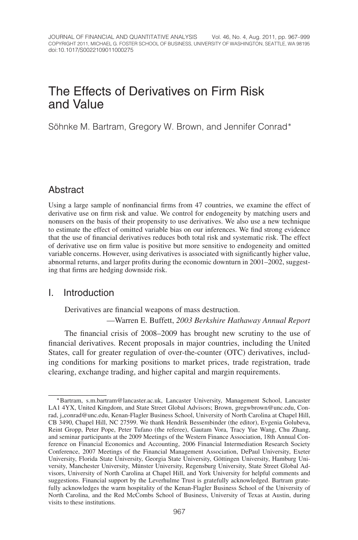# The Effects of Derivatives on Firm Risk and Value

Söhnke M. Bartram, Gregory W. Brown, and Jennifer Conrad<sup>∗</sup>

## Abstract

Using a large sample of nonfinancial firms from 47 countries, we examine the effect of derivative use on firm risk and value. We control for endogeneity by matching users and nonusers on the basis of their propensity to use derivatives. We also use a new technique to estimate the effect of omitted variable bias on our inferences. We find strong evidence that the use of financial derivatives reduces both total risk and systematic risk. The effect of derivative use on firm value is positive but more sensitive to endogeneity and omitted variable concerns. However, using derivatives is associated with significantly higher value, abnormal returns, and larger profits during the economic downturn in 2001–2002, suggesting that firms are hedging downside risk.

## I. Introduction

Derivatives are financial weapons of mass destruction.

—Warren E. Buffett, *2003 Berkshire Hathaway Annual Report*

The financial crisis of 2008–2009 has brought new scrutiny to the use of financial derivatives. Recent proposals in major countries, including the United States, call for greater regulation of over-the-counter (OTC) derivatives, including conditions for marking positions to market prices, trade registration, trade clearing, exchange trading, and higher capital and margin requirements.

<sup>∗</sup>Bartram, s.m.bartram@lancaster.ac.uk, Lancaster University, Management School, Lancaster LA1 4YX, United Kingdom, and State Street Global Advisors; Brown, gregwbrown@unc.edu, Conrad, j\_conrad@unc.edu, Kenan-Flagler Business School, University of North Carolina at Chapel Hill, CB 3490, Chapel Hill, NC 27599. We thank Hendrik Bessembinder (the editor), Evgenia Golubeva, Reint Gropp, Peter Pope, Peter Tufano (the referee), Gautam Vora, Tracy Yue Wang, Chu Zhang, and seminar participants at the 2009 Meetings of the Western Finance Association, 18th Annual Conference on Financial Economics and Accounting, 2006 Financial Intermediation Research Society Conference, 2007 Meetings of the Financial Management Association, DePaul University, Exeter University, Florida State University, Georgia State University, Gottingen University, Hamburg Uni- ¨ versity, Manchester University, Münster University, Regensburg University, State Street Global Advisors, University of North Carolina at Chapel Hill, and York University for helpful comments and suggestions. Financial support by the Leverhulme Trust is gratefully acknowledged. Bartram gratefully acknowledges the warm hospitality of the Kenan-Flagler Business School of the University of North Carolina, and the Red McCombs School of Business, University of Texas at Austin, during visits to these institutions.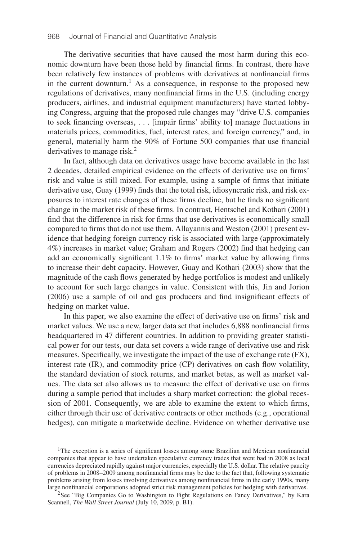The derivative securities that have caused the most harm during this economic downturn have been those held by financial firms. In contrast, there have been relatively few instances of problems with derivatives at nonfinancial firms in the current downturn.<sup>1</sup> As a consequence, in response to the proposed new regulations of derivatives, many nonfinancial firms in the U.S. (including energy producers, airlines, and industrial equipment manufacturers) have started lobbying Congress, arguing that the proposed rule changes may "drive U.S. companies to seek financing overseas, . . . [impair firms' ability to] manage fluctuations in materials prices, commodities, fuel, interest rates, and foreign currency," and, in general, materially harm the 90% of Fortune 500 companies that use financial derivatives to manage risk.<sup>2</sup>

In fact, although data on derivatives usage have become available in the last 2 decades, detailed empirical evidence on the effects of derivative use on firms' risk and value is still mixed. For example, using a sample of firms that initiate derivative use, Guay (1999) finds that the total risk, idiosyncratic risk, and risk exposures to interest rate changes of these firms decline, but he finds no significant change in the market risk of these firms. In contrast, Hentschel and Kothari (2001) find that the difference in risk for firms that use derivatives is economically small compared to firms that do not use them. Allayannis and Weston (2001) present evidence that hedging foreign currency risk is associated with large (approximately 4%) increases in market value; Graham and Rogers (2002) find that hedging can add an economically significant  $1.1\%$  to firms' market value by allowing firms to increase their debt capacity. However, Guay and Kothari (2003) show that the magnitude of the cash flows generated by hedge portfolios is modest and unlikely to account for such large changes in value. Consistent with this, Jin and Jorion (2006) use a sample of oil and gas producers and find insignificant effects of hedging on market value.

In this paper, we also examine the effect of derivative use on firms' risk and market values. We use a new, larger data set that includes 6,888 nonfinancial firms headquartered in 47 different countries. In addition to providing greater statistical power for our tests, our data set covers a wide range of derivative use and risk measures. Specifically, we investigate the impact of the use of exchange rate (FX), interest rate (IR), and commodity price (CP) derivatives on cash flow volatility, the standard deviation of stock returns, and market betas, as well as market values. The data set also allows us to measure the effect of derivative use on firms during a sample period that includes a sharp market correction: the global recession of 2001. Consequently, we are able to examine the extent to which firms, either through their use of derivative contracts or other methods (e.g., operational hedges), can mitigate a marketwide decline. Evidence on whether derivative use

<sup>&</sup>lt;sup>1</sup>The exception is a series of significant losses among some Brazilian and Mexican nonfinancial companies that appear to have undertaken speculative currency trades that went bad in 2008 as local currencies depreciated rapidly against major currencies, especially the U.S. dollar. The relative paucity of problems in 2008–2009 among nonfinancial firms may be due to the fact that, following systematic problems arising from losses involving derivatives among nonfinancial firms in the early 1990s, many large nonfinancial corporations adopted strict risk management policies for hedging with derivatives.

<sup>&</sup>lt;sup>2</sup>See "Big Companies Go to Washington to Fight Regulations on Fancy Derivatives," by Kara Scannell, *The Wall Street Journal* (July 10, 2009, p. B1).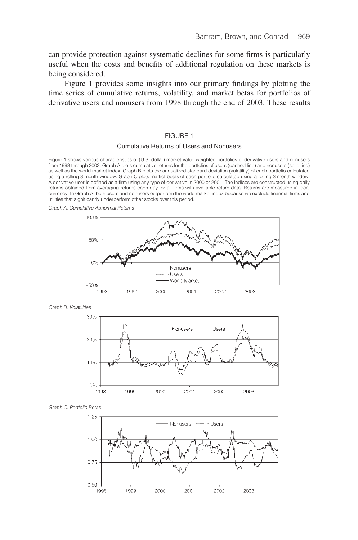can provide protection against systematic declines for some firms is particularly useful when the costs and benefits of additional regulation on these markets is being considered.

Figure 1 provides some insights into our primary findings by plotting the time series of cumulative returns, volatility, and market betas for portfolios of derivative users and nonusers from 1998 through the end of 2003. These results

#### FIGURE 1

#### Cumulative Returns of Users and Nonusers

Figure 1 shows various characteristics of (U.S. dollar) market-value weighted portfolios of derivative users and nonusers from 1998 through 2003. Graph A plots cumulative returns for the portfolios of users (dashed line) and nonusers (solid line) as well as the world market index. Graph B plots the annualized standard deviation (volatility) of each portfolio calculated using a rolling 3-month window. Graph C plots market betas of each portfolio calculated using a rolling 3-month window. A derivative user is defined as a firm using any type of derivative in 2000 or 2001. The indices are constructed using daily returns obtained from averaging returns each day for all firms with available return data. Returns are measured in local currency. In Graph A, both users and nonusers outperform the world market index because we exclude financial firms and utilities that significantly underperform other stocks over this period.

Graph A. Cumulative Abnormal Returns



Graph B. Volatilities



Graph C. Portfolio Betas

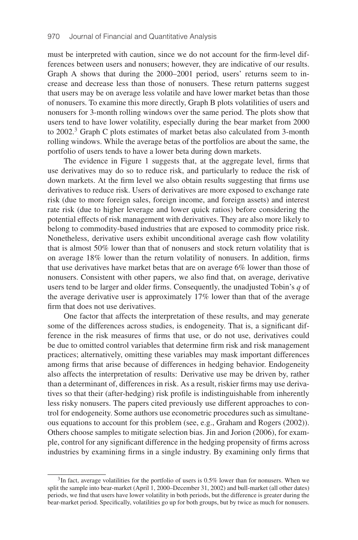must be interpreted with caution, since we do not account for the firm-level differences between users and nonusers; however, they are indicative of our results. Graph A shows that during the 2000–2001 period, users' returns seem to increase and decrease less than those of nonusers. These return patterns suggest that users may be on average less volatile and have lower market betas than those of nonusers. To examine this more directly, Graph B plots volatilities of users and nonusers for 3-month rolling windows over the same period. The plots show that users tend to have lower volatility, especially during the bear market from 2000 to 2002.<sup>3</sup> Graph C plots estimates of market betas also calculated from 3-month rolling windows. While the average betas of the portfolios are about the same, the portfolio of users tends to have a lower beta during down markets.

The evidence in Figure 1 suggests that, at the aggregate level, firms that use derivatives may do so to reduce risk, and particularly to reduce the risk of down markets. At the firm level we also obtain results suggesting that firms use derivatives to reduce risk. Users of derivatives are more exposed to exchange rate risk (due to more foreign sales, foreign income, and foreign assets) and interest rate risk (due to higher leverage and lower quick ratios) before considering the potential effects of risk management with derivatives. They are also more likely to belong to commodity-based industries that are exposed to commodity price risk. Nonetheless, derivative users exhibit unconditional average cash flow volatility that is almost 50% lower than that of nonusers and stock return volatility that is on average 18% lower than the return volatility of nonusers. In addition, firms that use derivatives have market betas that are on average 6% lower than those of nonusers. Consistent with other papers, we also find that, on average, derivative users tend to be larger and older firms. Consequently, the unadjusted Tobin's *q* of the average derivative user is approximately 17% lower than that of the average firm that does not use derivatives.

One factor that affects the interpretation of these results, and may generate some of the differences across studies, is endogeneity. That is, a significant difference in the risk measures of firms that use, or do not use, derivatives could be due to omitted control variables that determine firm risk and risk management practices; alternatively, omitting these variables may mask important differences among firms that arise because of differences in hedging behavior. Endogeneity also affects the interpretation of results: Derivative use may be driven by, rather than a determinant of, differences in risk. As a result, riskier firms may use derivatives so that their (after-hedging) risk profile is indistinguishable from inherently less risky nonusers. The papers cited previously use different approaches to control for endogeneity. Some authors use econometric procedures such as simultaneous equations to account for this problem (see, e.g., Graham and Rogers (2002)). Others choose samples to mitigate selection bias. Jin and Jorion (2006), for example, control for any significant difference in the hedging propensity of firms across industries by examining firms in a single industry. By examining only firms that

 $3$ In fact, average volatilities for the portfolio of users is 0.5% lower than for nonusers. When we split the sample into bear-market (April 1, 2000–December 31, 2002) and bull-market (all other dates) periods, we find that users have lower volatility in both periods, but the difference is greater during the bear-market period. Specifically, volatilities go up for both groups, but by twice as much for nonusers.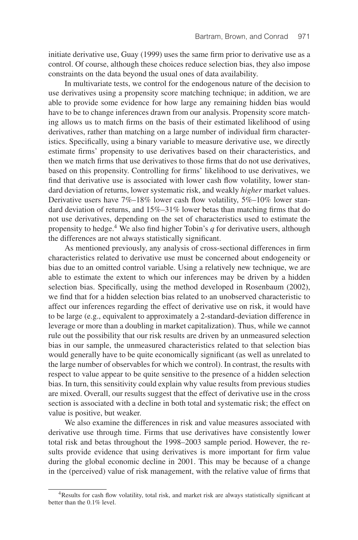initiate derivative use, Guay (1999) uses the same firm prior to derivative use as a control. Of course, although these choices reduce selection bias, they also impose constraints on the data beyond the usual ones of data availability.

In multivariate tests, we control for the endogenous nature of the decision to use derivatives using a propensity score matching technique; in addition, we are able to provide some evidence for how large any remaining hidden bias would have to be to change inferences drawn from our analysis. Propensity score matching allows us to match firms on the basis of their estimated likelihood of using derivatives, rather than matching on a large number of individual firm characteristics. Specifically, using a binary variable to measure derivative use, we directly estimate firms' propensity to use derivatives based on their characteristics, and then we match firms that use derivatives to those firms that do not use derivatives, based on this propensity. Controlling for firms' likelihood to use derivatives, we find that derivative use is associated with lower cash flow volatility, lower standard deviation of returns, lower systematic risk, and weakly *higher* market values. Derivative users have 7%–18% lower cash flow volatility, 5%–10% lower standard deviation of returns, and 15%–31% lower betas than matching firms that do not use derivatives, depending on the set of characteristics used to estimate the propensity to hedge.<sup>4</sup> We also find higher Tobin's  $q$  for derivative users, although the differences are not always statistically significant.

As mentioned previously, any analysis of cross-sectional differences in firm characteristics related to derivative use must be concerned about endogeneity or bias due to an omitted control variable. Using a relatively new technique, we are able to estimate the extent to which our inferences may be driven by a hidden selection bias. Specifically, using the method developed in Rosenbaum (2002), we find that for a hidden selection bias related to an unobserved characteristic to affect our inferences regarding the effect of derivative use on risk, it would have to be large (e.g., equivalent to approximately a 2-standard-deviation difference in leverage or more than a doubling in market capitalization). Thus, while we cannot rule out the possibility that our risk results are driven by an unmeasured selection bias in our sample, the unmeasured characteristics related to that selection bias would generally have to be quite economically significant (as well as unrelated to the large number of observables for which we control). In contrast, the results with respect to value appear to be quite sensitive to the presence of a hidden selection bias. In turn, this sensitivity could explain why value results from previous studies are mixed. Overall, our results suggest that the effect of derivative use in the cross section is associated with a decline in both total and systematic risk; the effect on value is positive, but weaker.

We also examine the differences in risk and value measures associated with derivative use through time. Firms that use derivatives have consistently lower total risk and betas throughout the 1998–2003 sample period. However, the results provide evidence that using derivatives is more important for firm value during the global economic decline in 2001. This may be because of a change in the (perceived) value of risk management, with the relative value of firms that

<sup>4</sup>Results for cash flow volatility, total risk, and market risk are always statistically significant at better than the 0.1% level.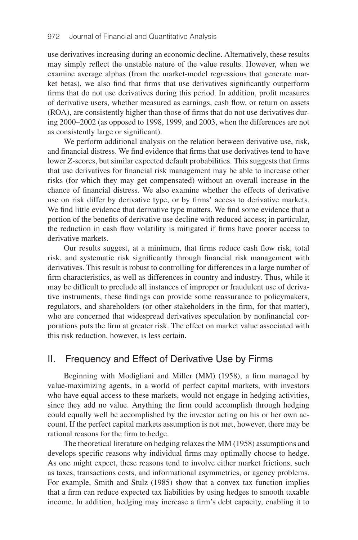use derivatives increasing during an economic decline. Alternatively, these results may simply reflect the unstable nature of the value results. However, when we examine average alphas (from the market-model regressions that generate market betas), we also find that firms that use derivatives significantly outperform firms that do not use derivatives during this period. In addition, profit measures of derivative users, whether measured as earnings, cash flow, or return on assets (ROA), are consistently higher than those of firms that do not use derivatives during 2000–2002 (as opposed to 1998, 1999, and 2003, when the differences are not as consistently large or significant).

We perform additional analysis on the relation between derivative use, risk, and financial distress. We find evidence that firms that use derivatives tend to have lower *Z*-scores, but similar expected default probabilities. This suggests that firms that use derivatives for financial risk management may be able to increase other risks (for which they may get compensated) without an overall increase in the chance of financial distress. We also examine whether the effects of derivative use on risk differ by derivative type, or by firms' access to derivative markets. We find little evidence that derivative type matters. We find some evidence that a portion of the benefits of derivative use decline with reduced access; in particular, the reduction in cash flow volatility is mitigated if firms have poorer access to derivative markets.

Our results suggest, at a minimum, that firms reduce cash flow risk, total risk, and systematic risk significantly through financial risk management with derivatives. This result is robust to controlling for differences in a large number of firm characteristics, as well as differences in country and industry. Thus, while it may be difficult to preclude all instances of improper or fraudulent use of derivative instruments, these findings can provide some reassurance to policymakers, regulators, and shareholders (or other stakeholders in the firm, for that matter), who are concerned that widespread derivatives speculation by nonfinancial corporations puts the firm at greater risk. The effect on market value associated with this risk reduction, however, is less certain.

## II. Frequency and Effect of Derivative Use by Firms

Beginning with Modigliani and Miller (MM) (1958), a firm managed by value-maximizing agents, in a world of perfect capital markets, with investors who have equal access to these markets, would not engage in hedging activities, since they add no value. Anything the firm could accomplish through hedging could equally well be accomplished by the investor acting on his or her own account. If the perfect capital markets assumption is not met, however, there may be rational reasons for the firm to hedge.

The theoretical literature on hedging relaxes the MM (1958) assumptions and develops specific reasons why individual firms may optimally choose to hedge. As one might expect, these reasons tend to involve either market frictions, such as taxes, transactions costs, and informational asymmetries, or agency problems. For example, Smith and Stulz (1985) show that a convex tax function implies that a firm can reduce expected tax liabilities by using hedges to smooth taxable income. In addition, hedging may increase a firm's debt capacity, enabling it to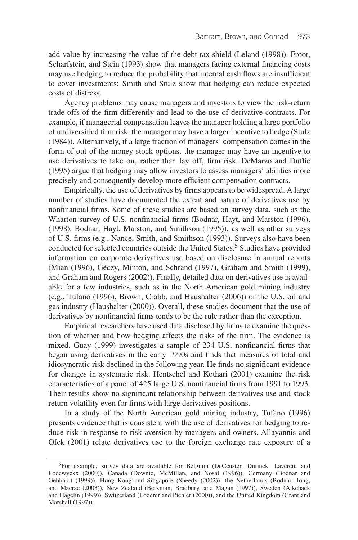add value by increasing the value of the debt tax shield (Leland (1998)). Froot, Scharfstein, and Stein (1993) show that managers facing external financing costs may use hedging to reduce the probability that internal cash flows are insufficient to cover investments; Smith and Stulz show that hedging can reduce expected costs of distress.

Agency problems may cause managers and investors to view the risk-return trade-offs of the firm differently and lead to the use of derivative contracts. For example, if managerial compensation leaves the manager holding a large portfolio of undiversified firm risk, the manager may have a larger incentive to hedge (Stulz (1984)). Alternatively, if a large fraction of managers' compensation comes in the form of out-of-the-money stock options, the manager may have an incentive to use derivatives to take on, rather than lay off, firm risk. DeMarzo and Duffie (1995) argue that hedging may allow investors to assess managers' abilities more precisely and consequently develop more efficient compensation contracts.

Empirically, the use of derivatives by firms appears to be widespread. A large number of studies have documented the extent and nature of derivatives use by nonfinancial firms. Some of these studies are based on survey data, such as the Wharton survey of U.S. nonfinancial firms (Bodnar, Hayt, and Marston (1996), (1998), Bodnar, Hayt, Marston, and Smithson (1995)), as well as other surveys of U.S. firms (e.g., Nance, Smith, and Smithson (1993)). Surveys also have been conducted for selected countries outside the United States.<sup>5</sup> Studies have provided information on corporate derivatives use based on disclosure in annual reports (Mian (1996), Géczy, Minton, and Schrand (1997), Graham and Smith (1999), and Graham and Rogers (2002)). Finally, detailed data on derivatives use is available for a few industries, such as in the North American gold mining industry (e.g., Tufano (1996), Brown, Crabb, and Haushalter (2006)) or the U.S. oil and gas industry (Haushalter (2000)). Overall, these studies document that the use of derivatives by nonfinancial firms tends to be the rule rather than the exception.

Empirical researchers have used data disclosed by firms to examine the question of whether and how hedging affects the risks of the firm. The evidence is mixed. Guay (1999) investigates a sample of 234 U.S. nonfinancial firms that began using derivatives in the early 1990s and finds that measures of total and idiosyncratic risk declined in the following year. He finds no significant evidence for changes in systematic risk. Hentschel and Kothari (2001) examine the risk characteristics of a panel of 425 large U.S. nonfinancial firms from 1991 to 1993. Their results show no significant relationship between derivatives use and stock return volatility even for firms with large derivatives positions.

In a study of the North American gold mining industry, Tufano (1996) presents evidence that is consistent with the use of derivatives for hedging to reduce risk in response to risk aversion by managers and owners. Allayannis and Ofek (2001) relate derivatives use to the foreign exchange rate exposure of a

<sup>&</sup>lt;sup>5</sup>For example, survey data are available for Belgium (DeCeuster, Durinck, Laveren, and Lodewyckx (2000)), Canada (Downie, McMillan, and Nosal (1996)), Germany (Bodnar and Gebhardt (1999)), Hong Kong and Singapore (Sheedy (2002)), the Netherlands (Bodnar, Jong, and Macrae (2003)), New Zealand (Berkman, Bradbury, and Magan (1997)), Sweden (Alkeback and Hagelin (1999)), Switzerland (Loderer and Pichler (2000)), and the United Kingdom (Grant and Marshall (1997)).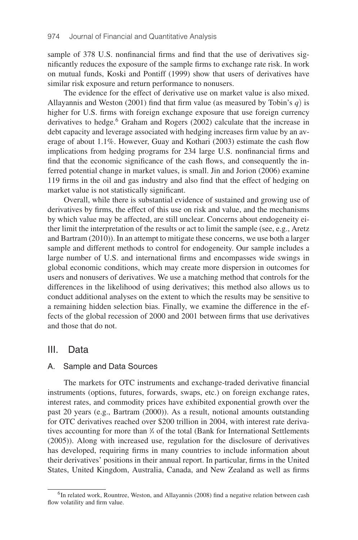sample of 378 U.S. nonfinancial firms and find that the use of derivatives significantly reduces the exposure of the sample firms to exchange rate risk. In work on mutual funds, Koski and Pontiff (1999) show that users of derivatives have similar risk exposure and return performance to nonusers.

The evidence for the effect of derivative use on market value is also mixed. Allayannis and Weston (2001) find that firm value (as measured by Tobin's  $q$ ) is higher for U.S. firms with foreign exchange exposure that use foreign currency derivatives to hedge. $6$  Graham and Rogers (2002) calculate that the increase in debt capacity and leverage associated with hedging increases firm value by an average of about 1.1%. However, Guay and Kothari (2003) estimate the cash flow implications from hedging programs for 234 large U.S. nonfinancial firms and find that the economic significance of the cash flows, and consequently the inferred potential change in market values, is small. Jin and Jorion (2006) examine 119 firms in the oil and gas industry and also find that the effect of hedging on market value is not statistically significant.

Overall, while there is substantial evidence of sustained and growing use of derivatives by firms, the effect of this use on risk and value, and the mechanisms by which value may be affected, are still unclear. Concerns about endogeneity either limit the interpretation of the results or act to limit the sample (see, e.g., Aretz and Bartram (2010)). In an attempt to mitigate these concerns, we use both a larger sample and different methods to control for endogeneity. Our sample includes a large number of U.S. and international firms and encompasses wide swings in global economic conditions, which may create more dispersion in outcomes for users and nonusers of derivatives. We use a matching method that controls for the differences in the likelihood of using derivatives; this method also allows us to conduct additional analyses on the extent to which the results may be sensitive to a remaining hidden selection bias. Finally, we examine the difference in the effects of the global recession of 2000 and 2001 between firms that use derivatives and those that do not.

## III. Data

#### A. Sample and Data Sources

The markets for OTC instruments and exchange-traded derivative financial instruments (options, futures, forwards, swaps, etc.) on foreign exchange rates, interest rates, and commodity prices have exhibited exponential growth over the past 20 years (e.g., Bartram (2000)). As a result, notional amounts outstanding for OTC derivatives reached over \$200 trillion in 2004, with interest rate derivatives accounting for more than  $\frac{3}{4}$  of the total (Bank for International Settlements (2005)). Along with increased use, regulation for the disclosure of derivatives has developed, requiring firms in many countries to include information about their derivatives' positions in their annual report. In particular, firms in the United States, United Kingdom, Australia, Canada, and New Zealand as well as firms

<sup>&</sup>lt;sup>6</sup>In related work, Rountree, Weston, and Allayannis (2008) find a negative relation between cash flow volatility and firm value.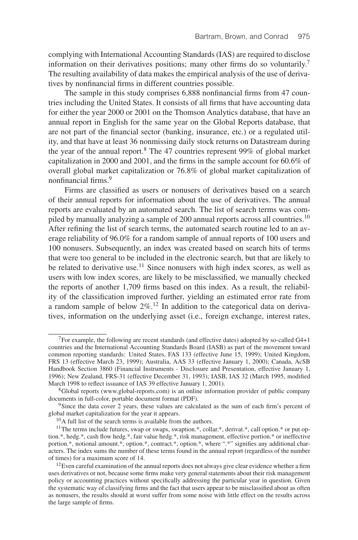complying with International Accounting Standards (IAS) are required to disclose information on their derivatives positions; many other firms do so voluntarily.<sup>7</sup> The resulting availability of data makes the empirical analysis of the use of derivatives by nonfinancial firms in different countries possible.

The sample in this study comprises 6,888 nonfinancial firms from 47 countries including the United States. It consists of all firms that have accounting data for either the year 2000 or 2001 on the Thomson Analytics database, that have an annual report in English for the same year on the Global Reports database, that are not part of the financial sector (banking, insurance, etc.) or a regulated utility, and that have at least 36 nonmissing daily stock returns on Datastream during the year of the annual report.<sup>8</sup> The 47 countries represent 99% of global market capitalization in 2000 and 2001, and the firms in the sample account for 60.6% of overall global market capitalization or 76.8% of global market capitalization of nonfinancial firms.<sup>9</sup>

Firms are classified as users or nonusers of derivatives based on a search of their annual reports for information about the use of derivatives. The annual reports are evaluated by an automated search. The list of search terms was compiled by manually analyzing a sample of 200 annual reports across all countries.<sup>10</sup> After refining the list of search terms, the automated search routine led to an average reliability of 96.0% for a random sample of annual reports of 100 users and 100 nonusers. Subsequently, an index was created based on search hits of terms that were too general to be included in the electronic search, but that are likely to be related to derivative use.<sup>11</sup> Since nonusers with high index scores, as well as users with low index scores, are likely to be misclassified, we manually checked the reports of another 1,709 firms based on this index. As a result, the reliability of the classification improved further, yielding an estimated error rate from a random sample of below  $2\%$ .<sup>12</sup> In addition to the categorical data on derivatives, information on the underlying asset (i.e., foreign exchange, interest rates,

<sup>&</sup>lt;sup>7</sup>For example, the following are recent standards (and effective dates) adopted by so-called  $G4+1$ countries and the International Accounting Standards Board (IASB) as part of the movement toward common reporting standards: United States, FAS 133 (effective June 15, 1999); United Kingdom, FRS 13 (effective March 23, 1999); Australia, AAS 33 (effective January 1, 2000); Canada, AcSB Handbook Section 3860 (Financial Instruments - Disclosure and Presentation, effective January 1, 1996); New Zealand, FRS-31 (effective December 31, 1993); IASB, IAS 32 (March 1995, modified March 1998 to reflect issuance of IAS 39 effective January 1, 2001).

<sup>8</sup>Global reports (www.global-reports.com) is an online information provider of public company documents in full-color, portable document format (PDF).

<sup>&</sup>lt;sup>9</sup>Since the data cover 2 years, these values are calculated as the sum of each firm's percent of global market capitalization for the year it appears.

 $10$ A full list of the search terms is available from the authors.

<sup>&</sup>lt;sup>11</sup>The terms include futures, swap or swaps, swaption.\*, collar.\*, derivat.\*, call option.\* or put option.\*, hedg.\*, cash flow hedg.\*, fair value hedg.\*, risk management, effective portion.\* or ineffective portion.\*, notional amount.\*, option.\*, contract.\*, option.\*, where ".\*" signifies any additional characters. The index sums the number of these terms found in the annual report (regardless of the number of times) for a maximum score of 14.

<sup>&</sup>lt;sup>12</sup>Even careful examination of the annual reports does not always give clear evidence whether a firm uses derivatives or not, because some firms make very general statements about their risk management policy or accounting practices without specifically addressing the particular year in question. Given the systematic way of classifying firms and the fact that users appear to be misclassified about as often as nonusers, the results should at worst suffer from some noise with little effect on the results across the large sample of firms.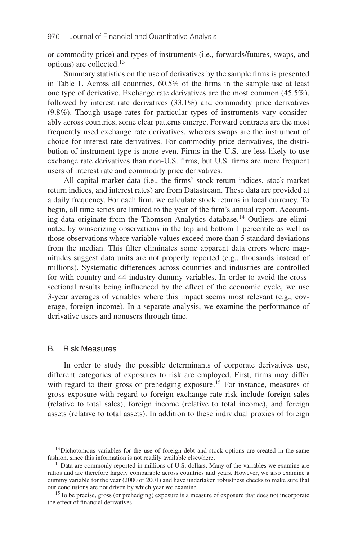or commodity price) and types of instruments (i.e., forwards/futures, swaps, and options) are collected.<sup>13</sup>

Summary statistics on the use of derivatives by the sample firms is presented in Table 1. Across all countries, 60.5% of the firms in the sample use at least one type of derivative. Exchange rate derivatives are the most common (45.5%), followed by interest rate derivatives (33.1%) and commodity price derivatives (9.8%). Though usage rates for particular types of instruments vary considerably across countries, some clear patterns emerge. Forward contracts are the most frequently used exchange rate derivatives, whereas swaps are the instrument of choice for interest rate derivatives. For commodity price derivatives, the distribution of instrument type is more even. Firms in the U.S. are less likely to use exchange rate derivatives than non-U.S. firms, but U.S. firms are more frequent users of interest rate and commodity price derivatives.

All capital market data (i.e., the firms' stock return indices, stock market return indices, and interest rates) are from Datastream. These data are provided at a daily frequency. For each firm, we calculate stock returns in local currency. To begin, all time series are limited to the year of the firm's annual report. Accounting data originate from the Thomson Analytics database.<sup>14</sup> Outliers are eliminated by winsorizing observations in the top and bottom 1 percentile as well as those observations where variable values exceed more than 5 standard deviations from the median. This filter eliminates some apparent data errors where magnitudes suggest data units are not properly reported (e.g., thousands instead of millions). Systematic differences across countries and industries are controlled for with country and 44 industry dummy variables. In order to avoid the crosssectional results being influenced by the effect of the economic cycle, we use 3-year averages of variables where this impact seems most relevant (e.g., coverage, foreign income). In a separate analysis, we examine the performance of derivative users and nonusers through time.

### B. Risk Measures

In order to study the possible determinants of corporate derivatives use, different categories of exposures to risk are employed. First, firms may differ with regard to their gross or prehedging exposure.<sup>15</sup> For instance, measures of gross exposure with regard to foreign exchange rate risk include foreign sales (relative to total sales), foreign income (relative to total income), and foreign assets (relative to total assets). In addition to these individual proxies of foreign

 $13$ Dichotomous variables for the use of foreign debt and stock options are created in the same fashion, since this information is not readily available elsewhere.

<sup>&</sup>lt;sup>14</sup>Data are commonly reported in millions of U.S. dollars. Many of the variables we examine are ratios and are therefore largely comparable across countries and years. However, we also examine a dummy variable for the year (2000 or 2001) and have undertaken robustness checks to make sure that our conclusions are not driven by which year we examine.

<sup>&</sup>lt;sup>15</sup>To be precise, gross (or prehedging) exposure is a measure of exposure that does not incorporate the effect of financial derivatives.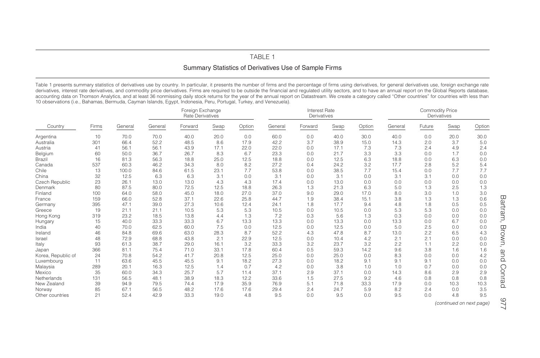## TABLE 1Summary Statistics of Derivatives Use of Sample Firms

Table 1 presents summary statistics of derivatives use by country. In particular, it presents the number of firms and the percentage of firms using derivatives, for general derivatives use, foreign exchange rate derivatives, interest rate derivatives, and commodity price derivatives. Firms are required to be outside the financial and regulated utility sectors, and to have an annual report on the Global Reports database, accounting data on Thomson Analytics, and at least 36 nonmissing daily stock returns for the year of the annual report on Datastream. We create a category called "Other countries" for countries with less than 10 observations (i.e., Bahamas, Bermuda, Cayman Islands, Egypt, Indonesia, Peru, Portugal, Turkey, and Venezuela).

|                    |       |         |         | Foreign Exchange<br><b>Rate Derivatives</b> |      |        | Interest Rate<br>Derivatives |         |      |        | Commodity Price<br>Derivatives |        |      |        |
|--------------------|-------|---------|---------|---------------------------------------------|------|--------|------------------------------|---------|------|--------|--------------------------------|--------|------|--------|
| Country            | Firms | General | General | Forward                                     | Swap | Option | General                      | Forward | Swap | Option | General                        | Future | Swap | Option |
| Argentina          | 10    | 70.0    | 70.0    | 40.0                                        | 20.0 | 0.0    | 60.0                         | 0.0     | 40.0 | 30.0   | 40.0                           | 0.0    | 20.0 | 30.0   |
| Australia          | 301   | 66.4    | 52.2    | 48.5                                        | 8.6  | 17.9   | 42.2                         | 3.7     | 38.9 | 15.0   | 14.3                           | 2.0    | 3.7  | 5.0    |
| Austria            | 41    | 56.1    | 56.1    | 43.9                                        | 17.1 | 22.0   | 22.0                         | 0.0     | 17.1 | 7.3    | 7.3                            | 2.4    | 4.9  | 2.4    |
| Belgium            | 60    | 50.0    | 36.7    | 26.7                                        | 8.3  | 6.7    | 23.3                         | 0.0     | 21.7 | 3.3    | 3.3                            | 0.0    | 1.7  | 0.0    |
| Brazil             | 16    | 81.3    | 56.3    | 18.8                                        | 25.0 | 12.5   | 18.8                         | 0.0     | 12.5 | 6.3    | 18.8                           | 0.0    | 6.3  | 0.0    |
| Canada             | 537   | 60.3    | 46.2    | 34.3                                        | 8.0  | 8.2    | 27.2                         | 0.4     | 24.2 | 3.2    | 17.7                           | 2.8    | 5.2  | 5.4    |
| Chile              | 13    | 100.0   | 84.6    | 61.5                                        | 23.1 | 7.7    | 53.8                         | 0.0     | 38.5 | 7.7    | 15.4                           | 0.0    | 7.7  | 7.7    |
| China              | 32    | 12.5    | 6.3     | 6.3                                         | 3.1  | 0.0    | 3.1                          | 0.0     | 3.1  | 0.0    | 3.1                            | 3.1    | 0.0  | 0.0    |
| Czech Republic     | 23    | 26.1    | 13.0    | 13.0                                        | 4.3  | 4.3    | 17.4                         | 0.0     | 13.0 | 0.0    | 0.0                            | 0.0    | 0.0  | 0.0    |
| Denmark            | 80    | 87.5    | 80.0    | 72.5                                        | 12.5 | 18.8   | 26.3                         | 1.3     | 21.3 | 6.3    | 5.0                            | 1.3    | 2.5  | 1.3    |
| Finland            | 100   | 64.0    | 58.0    | 45.0                                        | 18.0 | 27.0   | 37.0                         | 9.0     | 29.0 | 17.0   | 8.0                            | 3.0    | 1.0  | 3.0    |
| France             | 159   | 66.0    | 52.8    | 37.1                                        | 22.6 | 25.8   | 44.7                         | 1.9     | 38.4 | 15.1   | 3.8                            | 1.3    | 1.3  | 0.6    |
| Germany            | 395   | 47.1    | 39.0    | 27.3                                        | 10.6 | 12.4   | 24.1                         | 1.8     | 17.7 | 9.4    | 4.8                            | 1.8    | 0.5  | 0.5    |
| Greece             | 19    | 21.1    | 21.1    | 10.5                                        | 5.3  | 5.3    | 10.5                         | 0.0     | 10.5 | 0.0    | 5.3                            | 5.3    | 0.0  | 0.0    |
| Hong Kong          | 319   | 23.2    | 18.5    | 13.8                                        | 4.4  | 1.3    | 7.2                          | 0.3     | 5.6  | 1.3    | 0.3                            | 0.0    | 0.0  | 0.0    |
| Hungary            | 15    | 40.0    | 33.3    | 33.3                                        | 6.7  | 13.3   | 13.3                         | 0.0     | 13.3 | 0.0    | 13.3                           | 0.0    | 6.7  | 0.0    |
| India              | 40    | 70.0    | 62.5    | 60.0                                        | 7.5  | 0.0    | 12.5                         | 0.0     | 12.5 | 0.0    | 5.0                            | 2.5    | 0.0  | 0.0    |
| Ireland            | 46    | 84.8    | 69.6    | 63.0                                        | 28.3 | 8.7    | 52.2                         | 4.3     | 47.8 | 8.7    | 13.0                           | 2.2    | 6.5  | 4.3    |
| Israel             | 48    | 72.9    | 68.8    | 43.8                                        | 2.1  | 22.9   | 12.5                         | 0.0     | 10.4 | 4.2    | 2.1                            | 2.1    | 0.0  | 0.0    |
| Italy              | 93    | 61.3    | 38.7    | 29.0                                        | 16.1 | 3.2    | 33.3                         | 3.2     | 23.7 | 3.2    | 2.2                            | 1.1    | 2.2  | 0.0    |
| Japan              | 366   | 81.1    | 75.4    | 71.0                                        | 33.1 | 17.8   | 60.4                         | 0.5     | 59.3 | 14.2   | 9.6                            | 3.8    | 1.6  | 1.6    |
| Korea, Republic of | 24    | 70.8    | 54.2    | 41.7                                        | 20.8 | 12.5   | 25.0                         | 0.0     | 25.0 | 0.0    | 8.3                            | 0.0    | 0.0  | 4.2    |
| Luxembourg         | 11    | 63.6    | 45.5    | 45.5                                        | 9.1  | 18.2   | 27.3                         | 0.0     | 18.2 | 9.1    | 9.1                            | 9.1    | 0.0  | 0.0    |
| Malaysia           | 289   | 20.1    | 16.3    | 12.5                                        | 1.4  | 0.7    | 4.2                          | 0.0     | 3.8  | 1.0    | 1.0                            | 0.7    | 0.0  | 0.0    |
| Mexico             | 35    | 60.0    | 34.3    | 25.7                                        | 5.7  | 11.4   | 37.1                         | 2.9     | 37.1 | 0.0    | 14.3                           | 8.6    | 2.9  | 2.9    |
| Netherlands        | 131   | 56.5    | 48.1    | 38.9                                        | 18.3 | 12.2   | 33.6                         | 1.5     | 27.5 | 9.2    | 4.6                            | 0.8    | 0.8  | 0.8    |
| New Zealand        | 39    | 94.9    | 79.5    | 74.4                                        | 17.9 | 35.9   | 76.9                         | 5.1     | 71.8 | 33.3   | 17.9                           | 0.0    | 10.3 | 10.3   |
| Norway             | 85    | 67.1    | 56.5    | 48.2                                        | 17.6 | 17.6   | 29.4                         | 2.4     | 24.7 | 5.9    | 8.2                            | 2.4    | 0.0  | 3.5    |
| Other countries    | 21    | 52.4    | 42.9    | 33.3                                        | 19.0 | 4.8    | 9.5                          | 0.0     | 9.5  | 0.0    | 9.5                            | 0.0    | 4.8  | 9.5    |

(continued on next page)

Bartram, Brown, and Conrad Bartram, Brown, and Conrad 977 **ZZ6**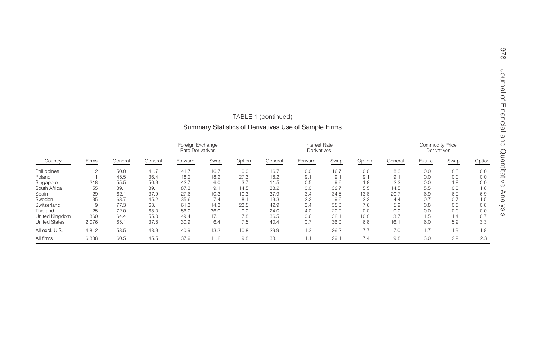|                                                                                                                                            |                                                                 |                                                                              |                                                                              |                                                                              |                                                                          |                                                                        |                                                                              |                                                                    |                                                                           |                                                                      |                                                                       |                                                                    |                                                                    |                                                                    | G<br>$\overline{8}$      |
|--------------------------------------------------------------------------------------------------------------------------------------------|-----------------------------------------------------------------|------------------------------------------------------------------------------|------------------------------------------------------------------------------|------------------------------------------------------------------------------|--------------------------------------------------------------------------|------------------------------------------------------------------------|------------------------------------------------------------------------------|--------------------------------------------------------------------|---------------------------------------------------------------------------|----------------------------------------------------------------------|-----------------------------------------------------------------------|--------------------------------------------------------------------|--------------------------------------------------------------------|--------------------------------------------------------------------|--------------------------|
|                                                                                                                                            |                                                                 |                                                                              |                                                                              |                                                                              |                                                                          |                                                                        |                                                                              |                                                                    |                                                                           |                                                                      |                                                                       |                                                                    |                                                                    |                                                                    | Journal<br>$\supsetneq$  |
|                                                                                                                                            |                                                                 |                                                                              |                                                                              |                                                                              |                                                                          |                                                                        | TABLE 1 (continued)                                                          | Summary Statistics of Derivatives Use of Sample Firms              |                                                                           |                                                                      |                                                                       |                                                                    |                                                                    |                                                                    | Financial                |
|                                                                                                                                            |                                                                 | Foreign Exchange<br><b>Rate Derivatives</b>                                  |                                                                              |                                                                              |                                                                          | Interest Rate<br>Derivatives                                           |                                                                              |                                                                    |                                                                           | and<br>Commodity Price<br>Derivatives                                |                                                                       |                                                                    |                                                                    |                                                                    |                          |
| Country                                                                                                                                    | Firms                                                           | General                                                                      | General                                                                      | Forward                                                                      | Swap                                                                     | Option                                                                 | General                                                                      | Forward                                                            | Swap                                                                      | Option                                                               | General                                                               | Future                                                             | Swap                                                               | Option                                                             |                          |
| Philippines<br>Poland<br>Singapore<br>South Africa<br>Spain<br>Sweden<br>Switzerland<br>Thailand<br>United Kingdom<br><b>United States</b> | 12<br>11<br>218<br>55<br>29<br>135<br>119<br>25<br>860<br>2,076 | 50.0<br>45.5<br>55.5<br>89.1<br>62.1<br>63.7<br>77.3<br>72.0<br>64.4<br>65.1 | 41.7<br>36.4<br>50.9<br>89.1<br>37.9<br>45.2<br>68.1<br>68.0<br>55.0<br>37.8 | 41.7<br>18.2<br>42.7<br>87.3<br>27.6<br>35.6<br>61.3<br>56.0<br>49.4<br>30.9 | 16.7<br>18.2<br>6.0<br>9.1<br>10.3<br>7.4<br>14.3<br>36.0<br>17.1<br>6.4 | 0.0<br>27.3<br>3.7<br>14.5<br>10.3<br>8.1<br>23.5<br>0.0<br>7.8<br>7.5 | 16.7<br>18.2<br>11.5<br>38.2<br>37.9<br>13.3<br>42.9<br>24.0<br>36.5<br>40.4 | 0.0<br>9.1<br>0.5<br>0.0<br>3.4<br>2.2<br>3.4<br>4.0<br>0.6<br>0.7 | 16.7<br>9.1<br>9.6<br>32.7<br>34.5<br>9.6<br>35.3<br>20.0<br>32.1<br>36.0 | 0.0<br>9.1<br>1.8<br>5.5<br>13.8<br>2.2<br>7.6<br>0.0<br>10.8<br>6.8 | 8.3<br>9.1<br>2.3<br>14.5<br>20.7<br>4.4<br>5.9<br>0.0<br>3.7<br>16.1 | 0.0<br>0.0<br>0.0<br>5.5<br>6.9<br>0.7<br>0.8<br>0.0<br>1.5<br>6.0 | 8.3<br>0.0<br>1.8<br>0.0<br>6.9<br>0.7<br>0.8<br>0.0<br>1.4<br>5.2 | 0.0<br>0.0<br>0.0<br>1.8<br>6.9<br>1.5<br>0.8<br>0.0<br>0.7<br>3.3 | Quantitative<br>Analysis |
| All excl. U.S.<br>All firms                                                                                                                | 4,812<br>6,888                                                  | 58.5<br>60.5                                                                 | 48.9<br>45.5                                                                 | 40.9<br>37.9                                                                 | 13.2<br>11.2                                                             | 10.8<br>9.8                                                            | 29.9<br>33.1                                                                 | 1.3<br>1.1                                                         | 26.2<br>29.1                                                              | 7.7<br>7.4                                                           | 7.0<br>9.8                                                            | 1.7<br>3.0                                                         | 1.9<br>2.9                                                         | 1.8<br>2.3                                                         |                          |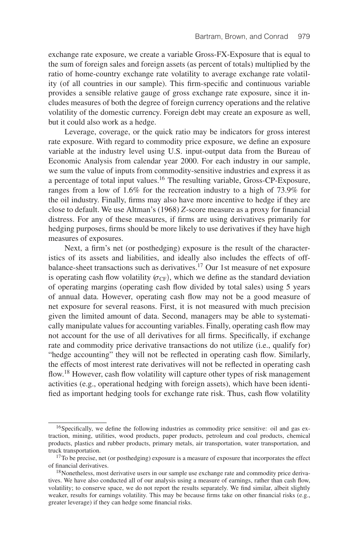exchange rate exposure, we create a variable Gross-FX-Exposure that is equal to the sum of foreign sales and foreign assets (as percent of totals) multiplied by the ratio of home-country exchange rate volatility to average exchange rate volatility (of all countries in our sample). This firm-specific and continuous variable provides a sensible relative gauge of gross exchange rate exposure, since it includes measures of both the degree of foreign currency operations and the relative volatility of the domestic currency. Foreign debt may create an exposure as well, but it could also work as a hedge.

Leverage, coverage, or the quick ratio may be indicators for gross interest rate exposure. With regard to commodity price exposure, we define an exposure variable at the industry level using U.S. input-output data from the Bureau of Economic Analysis from calendar year 2000. For each industry in our sample, we sum the value of inputs from commodity-sensitive industries and express it as a percentage of total input values.<sup>16</sup> The resulting variable, Gross-CP-Exposure, ranges from a low of 1.6% for the recreation industry to a high of 73.9% for the oil industry. Finally, firms may also have more incentive to hedge if they are close to default. We use Altman's (1968) *Z*-score measure as a proxy for financial distress. For any of these measures, if firms are using derivatives primarily for hedging purposes, firms should be more likely to use derivatives if they have high measures of exposures.

Next, a firm's net (or posthedging) exposure is the result of the characteristics of its assets and liabilities, and ideally also includes the effects of offbalance-sheet transactions such as derivatives.<sup>17</sup> Our 1st measure of net exposure is operating cash flow volatility  $(\sigma_{CF})$ , which we define as the standard deviation of operating margins (operating cash flow divided by total sales) using 5 years of annual data. However, operating cash flow may not be a good measure of net exposure for several reasons. First, it is not measured with much precision given the limited amount of data. Second, managers may be able to systematically manipulate values for accounting variables. Finally, operating cash flow may not account for the use of all derivatives for all firms. Specifically, if exchange rate and commodity price derivative transactions do not utilize (i.e., qualify for) "hedge accounting" they will not be reflected in operating cash flow. Similarly, the effects of most interest rate derivatives will not be reflected in operating cash flow.<sup>18</sup> However, cash flow volatility will capture other types of risk management activities (e.g., operational hedging with foreign assets), which have been identified as important hedging tools for exchange rate risk. Thus, cash flow volatility

<sup>&</sup>lt;sup>16</sup>Specifically, we define the following industries as commodity price sensitive: oil and gas extraction, mining, utilities, wood products, paper products, petroleum and coal products, chemical products, plastics and rubber products, primary metals, air transportation, water transportation, and truck transportation.

<sup>&</sup>lt;sup>17</sup>To be precise, net (or posthedging) exposure is a measure of exposure that incorporates the effect of financial derivatives.

<sup>&</sup>lt;sup>18</sup>Nonetheless, most derivative users in our sample use exchange rate and commodity price derivatives. We have also conducted all of our analysis using a measure of earnings, rather than cash flow, volatility; to conserve space, we do not report the results separately. We find similar, albeit slightly weaker, results for earnings volatility. This may be because firms take on other financial risks (e.g., greater leverage) if they can hedge some financial risks.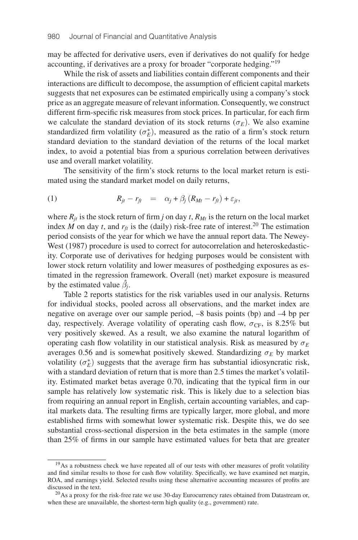may be affected for derivative users, even if derivatives do not qualify for hedge accounting, if derivatives are a proxy for broader "corporate hedging."19

While the risk of assets and liabilities contain different components and their interactions are difficult to decompose, the assumption of efficient capital markets suggests that net exposures can be estimated empirically using a company's stock price as an aggregate measure of relevant information. Consequently, we construct different firm-specific risk measures from stock prices. In particular, for each firm we calculate the standard deviation of its stock returns  $(\sigma_E)$ . We also examine standardized firm volatility  $(\sigma_E^*)$ , measured as the ratio of a firm's stock return standard deviation to the standard deviation of the returns of the local market index, to avoid a potential bias from a spurious correlation between derivatives use and overall market volatility.

The sensitivity of the firm's stock returns to the local market return is estimated using the standard market model on daily returns,

(1) 
$$
R_{jt} - r_{ft} = \alpha_j + \beta_j (R_{Mt} - r_{ft}) + \varepsilon_{jt},
$$

where  $R_{it}$  is the stock return of firm *j* on day *t*,  $R_{Mt}$  is the return on the local market index  $\hat{M}$  on day *t*, and  $r_f$  is the (daily) risk-free rate of interest.<sup>20</sup> The estimation period consists of the year for which we have the annual report data. The Newey-West (1987) procedure is used to correct for autocorrelation and heteroskedasticity. Corporate use of derivatives for hedging purposes would be consistent with lower stock return volatility and lower measures of posthedging exposures as estimated in the regression framework. Overall (net) market exposure is measured by the estimated value  $\hat{\beta}_j$ .

Table 2 reports statistics for the risk variables used in our analysis. Returns for individual stocks, pooled across all observations, and the market index are negative on average over our sample period, –8 basis points (bp) and –4 bp per day, respectively. Average volatility of operating cash flow,  $\sigma_{CF}$ , is 8.25% but very positively skewed. As a result, we also examine the natural logarithm of operating cash flow volatility in our statistical analysis. Risk as measured by  $\sigma_E$ averages 0.56 and is somewhat positively skewed. Standardizing  $\sigma_E$  by market volatility  $(\sigma_E^*)$  suggests that the average firm has substantial idiosyncratic risk, with a standard deviation of return that is more than 2.5 times the market's volatility. Estimated market betas average 0.70, indicating that the typical firm in our sample has relatively low systematic risk. This is likely due to a selection bias from requiring an annual report in English, certain accounting variables, and capital markets data. The resulting firms are typically larger, more global, and more established firms with somewhat lower systematic risk. Despite this, we do see substantial cross-sectional dispersion in the beta estimates in the sample (more than 25% of firms in our sample have estimated values for beta that are greater

<sup>&</sup>lt;sup>19</sup>As a robustness check we have repeated all of our tests with other measures of profit volatility and find similar results to those for cash flow volatility. Specifically, we have examined net margin, ROA, and earnings yield. Selected results using these alternative accounting measures of profits are discussed in the text.

<sup>&</sup>lt;sup>20</sup>As a proxy for the risk-free rate we use 30-day Eurocurrency rates obtained from Datastream or, when these are unavailable, the shortest-term high quality (e.g., government) rate.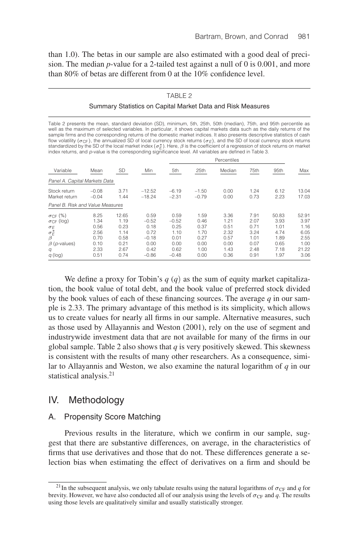than 1.0). The betas in our sample are also estimated with a good deal of precision. The median *p*-value for a 2-tailed test against a null of 0 is 0.001, and more than 80% of betas are different from 0 at the 10% confidence level.

## TABLE 2

#### Summary Statistics on Capital Market Data and Risk Measures

Table 2 presents the mean, standard deviation (SD), minimum, 5th, 25th, 50th (median), 75th, and 95th percentile as well as the maximum of selected variables. In particular, it shows capital markets data such as the daily returns of the sample firms and the corresponding returns of the domestic market indices. It also presents descriptive statistics of cash flow volatility ( $\sigma_{CF}$ ), the annualized SD of local currency stock returns ( $\sigma_E$ ), and the SD of local currency stock returns standardized by the SD of the local market index ( $\sigma^*_F$ ). Here,  $\beta$  is the coefficient of a regression of stock returns on market index returns, and p-value is the corresponding significance level. All variables are defined in Table 3.

|                                                                                                                                  |                                                              |                                                               |                                                                       |                                                                    | Percentiles                                                  |                                                              |                                                              |                                                               |                                                                |  |  |
|----------------------------------------------------------------------------------------------------------------------------------|--------------------------------------------------------------|---------------------------------------------------------------|-----------------------------------------------------------------------|--------------------------------------------------------------------|--------------------------------------------------------------|--------------------------------------------------------------|--------------------------------------------------------------|---------------------------------------------------------------|----------------------------------------------------------------|--|--|
| Variable                                                                                                                         | Mean                                                         | SD                                                            | <b>Min</b>                                                            | 5th                                                                | 25th                                                         | Median                                                       | 75th                                                         | 95th                                                          | Max                                                            |  |  |
| Panel A. Capital Markets Data                                                                                                    |                                                              |                                                               |                                                                       |                                                                    |                                                              |                                                              |                                                              |                                                               |                                                                |  |  |
| Stock return<br>Market return                                                                                                    | $-0.08$<br>$-0.04$                                           | 3.71<br>1.44                                                  | $-12.52$<br>$-18.24$                                                  | $-6.19$<br>$-2.31$                                                 | $-1.50$<br>$-0.79$                                           | 0.00<br>0.00                                                 | 1.24<br>0.73                                                 | 6.12<br>2.23                                                  | 13.04<br>17.03                                                 |  |  |
| Panel B. Risk and Value Measures                                                                                                 |                                                              |                                                               |                                                                       |                                                                    |                                                              |                                                              |                                                              |                                                               |                                                                |  |  |
| $\sigma$ CF (%)<br>$\sigma$ CF (log)<br>$\sigma_E$<br>$\sigma^{\ast}_{\!\beta}$<br>$\beta$ ( <i>p</i> -values)<br>q<br>$q$ (log) | 8.25<br>1.34<br>0.56<br>2.56<br>0.70<br>0.10<br>2.33<br>0.51 | 12.65<br>1.19<br>0.23<br>1.14<br>0.58<br>0.21<br>2.67<br>0.74 | 0.59<br>$-0.52$<br>0.18<br>0.72<br>$-0.18$<br>0.00<br>0.42<br>$-0.86$ | 0.59<br>$-0.52$<br>0.25<br>1.10<br>0.01<br>0.00<br>0.62<br>$-0.48$ | 1.59<br>0.46<br>0.37<br>1.70<br>0.27<br>0.00<br>1.00<br>0.00 | 3.36<br>1.21<br>0.51<br>2.32<br>0.57<br>0.00<br>1.43<br>0.36 | 7.91<br>2.07<br>0.71<br>3.24<br>1.01<br>0.07<br>2.48<br>0.91 | 50.83<br>3.93<br>1.01<br>4.74<br>1.89<br>0.65<br>7.18<br>1.97 | 52.91<br>3.97<br>1.16<br>6.05<br>2.55<br>1.00<br>21.22<br>3.06 |  |  |

We define a proxy for Tobin's *q* (*q*) as the sum of equity market capitalization, the book value of total debt, and the book value of preferred stock divided by the book values of each of these financing sources. The average *q* in our sample is 2.33. The primary advantage of this method is its simplicity, which allows us to create values for nearly all firms in our sample. Alternative measures, such as those used by Allayannis and Weston (2001), rely on the use of segment and industrywide investment data that are not available for many of the firms in our global sample. Table 2 also shows that *q* is very positively skewed. This skewness is consistent with the results of many other researchers. As a consequence, similar to Allayannis and Weston, we also examine the natural logarithm of *q* in our statistical analysis.<sup>21</sup>

## IV. Methodology

#### A. Propensity Score Matching

Previous results in the literature, which we confirm in our sample, suggest that there are substantive differences, on average, in the characteristics of firms that use derivatives and those that do not. These differences generate a selection bias when estimating the effect of derivatives on a firm and should be

<sup>&</sup>lt;sup>21</sup>In the subsequent analysis, we only tabulate results using the natural logarithms of  $\sigma_{CF}$  and *q* for brevity. However, we have also conducted all of our analysis using the levels of  $\sigma_{CF}$  and *q*. The results using those levels are qualitatively similar and usually statistically stronger.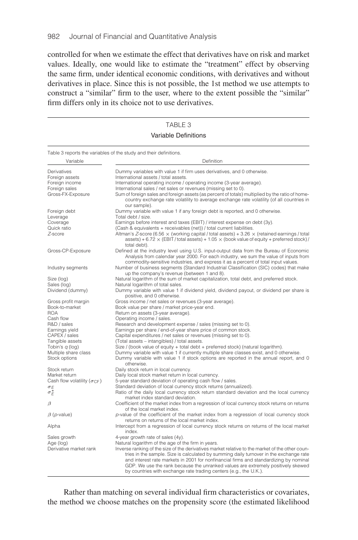controlled for when we estimate the effect that derivatives have on risk and market values. Ideally, one would like to estimate the "treatment" effect by observing the same firm, under identical economic conditions, with derivatives and without derivatives in place. Since this is not possible, the 1st method we use attempts to construct a "similar" firm to the user, where to the extent possible the "similar" firm differs only in its choice not to use derivatives.

### TABLE 3

#### Variable Definitions

|                                                 | Table 3 reports the variables of the study and their definitions.                                                                                                                                                                                                                                                                                                                                                                           |
|-------------------------------------------------|---------------------------------------------------------------------------------------------------------------------------------------------------------------------------------------------------------------------------------------------------------------------------------------------------------------------------------------------------------------------------------------------------------------------------------------------|
| Variable                                        | Definition                                                                                                                                                                                                                                                                                                                                                                                                                                  |
| Derivatives                                     | Dummy variables with value 1 if firm uses derivatives, and 0 otherwise.                                                                                                                                                                                                                                                                                                                                                                     |
| Foreign assets                                  | International assets / total assets.                                                                                                                                                                                                                                                                                                                                                                                                        |
| Foreign income                                  | International operating income / operating income (3-year average).                                                                                                                                                                                                                                                                                                                                                                         |
| Foreign sales                                   | International sales / net sales or revenues (missing set to 0).                                                                                                                                                                                                                                                                                                                                                                             |
| Gross-FX-Exposure                               | Sum of foreign sales and foreign assets (as percent of totals) multiplied by the ratio of home-<br>country exchange rate volatility to average exchange rate volatility (of all countries in<br>our sample).                                                                                                                                                                                                                                |
| Foreign debt                                    | Dummy variable with value 1 if any foreign debt is reported, and 0 otherwise.                                                                                                                                                                                                                                                                                                                                                               |
| Leverage                                        | Total debt / size.                                                                                                                                                                                                                                                                                                                                                                                                                          |
| Coverage                                        | Earnings before interest and taxes (EBIT) / interest expense on debt (3y).                                                                                                                                                                                                                                                                                                                                                                  |
| Quick ratio                                     | (Cash & equivalents + receivables (net)) / total current liabilities.                                                                                                                                                                                                                                                                                                                                                                       |
| Z-score                                         | Altman's Z-score (6.56 $\times$ (working capital / total assets) + 3.26 $\times$ (retained earnings / total<br>assets) + 6.72 $\times$ (EBIT/total assets) + 1.05 $\times$ (book value of equity + preferred stock)/<br>total debt).                                                                                                                                                                                                        |
| Gross-CP-Exposure                               | Defined at the industry level using U.S. input-output data from the Bureau of Economic                                                                                                                                                                                                                                                                                                                                                      |
|                                                 | Analysis from calendar year 2000. For each industry, we sum the value of inputs from                                                                                                                                                                                                                                                                                                                                                        |
|                                                 | commodity-sensitive industries, and express it as a percent of total input values.                                                                                                                                                                                                                                                                                                                                                          |
| Industry segments                               | Number of business segments (Standard Industrial Classification (SIC) codes) that make                                                                                                                                                                                                                                                                                                                                                      |
|                                                 | up the company's revenue (between 1 and 8).                                                                                                                                                                                                                                                                                                                                                                                                 |
| Size (log)                                      | Natural logarithm of the sum of market capitalization, total debt, and preferred stock.                                                                                                                                                                                                                                                                                                                                                     |
| Sales (log)                                     | Natural logarithm of total sales.                                                                                                                                                                                                                                                                                                                                                                                                           |
| Dividend (dummy)                                | Dummy variable with value 1 if dividend yield, dividend payout, or dividend per share is<br>positive, and 0 otherwise.                                                                                                                                                                                                                                                                                                                      |
| Gross profit margin                             | Gross income / net sales or revenues (3-year average).                                                                                                                                                                                                                                                                                                                                                                                      |
| Book-to-market                                  | Book value per share / market price-year end.                                                                                                                                                                                                                                                                                                                                                                                               |
| <b>ROA</b>                                      | Return on assets (3-year average).                                                                                                                                                                                                                                                                                                                                                                                                          |
| Cash flow                                       | Operating income / sales.                                                                                                                                                                                                                                                                                                                                                                                                                   |
| R&D / sales                                     | Research and development expense / sales (missing set to 0).                                                                                                                                                                                                                                                                                                                                                                                |
| Earnings yield                                  | Earnings per share / end-of-year share price of common stock.                                                                                                                                                                                                                                                                                                                                                                               |
| CAPEX / sales                                   | Capital expenditures / net sales or revenues (missing set to 0).                                                                                                                                                                                                                                                                                                                                                                            |
| Tangible assets                                 | (Total assets - intangibles) / total assets.                                                                                                                                                                                                                                                                                                                                                                                                |
| Tobin's q (log)                                 | Size / (book value of equity + total debt + preferred stock) (natural logarithm).                                                                                                                                                                                                                                                                                                                                                           |
| Multiple share class<br>Stock options           | Dummy variable with value 1 if currently multiple share classes exist, and 0 otherwise.<br>Dummy variable with value 1 if stock options are reported in the annual report, and 0<br>otherwise.                                                                                                                                                                                                                                              |
| Stock return                                    | Daily stock return in local currency.                                                                                                                                                                                                                                                                                                                                                                                                       |
| Market return                                   | Daily local stock market return in local currency.                                                                                                                                                                                                                                                                                                                                                                                          |
| Cash flow volatility ( $\sigma$ <sub>CF</sub> ) | 5-year standard deviation of operating cash flow / sales.                                                                                                                                                                                                                                                                                                                                                                                   |
| $\sigma$ E                                      | Standard deviation of local currency stock returns (annualized).                                                                                                                                                                                                                                                                                                                                                                            |
| $\sigma_{\mathsf{F}}^*$                         | Ratio of the daily local currency stock return standard deviation and the local currency                                                                                                                                                                                                                                                                                                                                                    |
| $\beta$                                         | market index standard deviation.<br>Coefficient of the market index from a regression of local currency stock returns on returns<br>of the local market index.                                                                                                                                                                                                                                                                              |
| $\beta$ (p-value)                               | p-value of the coefficient of the market index from a regression of local currency stock<br>returns on returns of the local market index.                                                                                                                                                                                                                                                                                                   |
| Alpha                                           | Intercept from a regression of local currency stock returns on returns of the local market<br>index.                                                                                                                                                                                                                                                                                                                                        |
| Sales growth                                    | 4-year growth rate of sales (4y).                                                                                                                                                                                                                                                                                                                                                                                                           |
| Age (log)                                       | Natural logarithm of the age of the firm in years.                                                                                                                                                                                                                                                                                                                                                                                          |
| Derivative market rank                          | Inverse ranking of the size of the derivatives market relative to the market of the other coun-<br>tries in the sample. Size is calculated by summing daily turnover in the exchange rate<br>and interest rate markets in 2001 for nonfinancial firms and standardizing by nominal<br>GDP. We use the rank because the unranked values are extremely positively skewed<br>by countries with exchange rate trading centers (e.g., the U.K.). |

Rather than matching on several individual firm characteristics or covariates, the method we choose matches on the propensity score (the estimated likelihood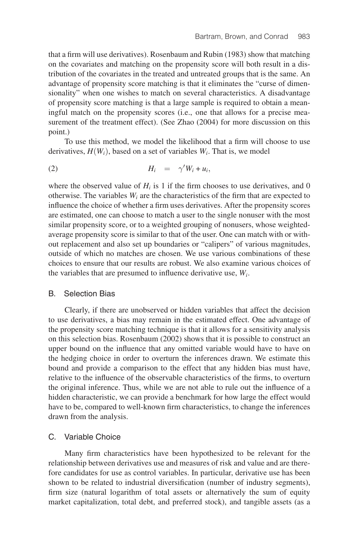that a firm will use derivatives). Rosenbaum and Rubin (1983) show that matching on the covariates and matching on the propensity score will both result in a distribution of the covariates in the treated and untreated groups that is the same. An advantage of propensity score matching is that it eliminates the "curse of dimensionality" when one wishes to match on several characteristics. A disadvantage of propensity score matching is that a large sample is required to obtain a meaningful match on the propensity scores (i.e., one that allows for a precise measurement of the treatment effect). (See Zhao (2004) for more discussion on this point.)

To use this method, we model the likelihood that a firm will choose to use derivatives,  $H(W_i)$ , based on a set of variables  $W_i$ . That is, we model

$$
(2) \t\t\t H_i = \gamma' W_i + u_i,
$$

where the observed value of  $H_i$  is 1 if the firm chooses to use derivatives, and 0 otherwise. The variables  $W_i$  are the characteristics of the firm that are expected to influence the choice of whether a firm uses derivatives. After the propensity scores are estimated, one can choose to match a user to the single nonuser with the most similar propensity score, or to a weighted grouping of nonusers, whose weightedaverage propensity score is similar to that of the user. One can match with or without replacement and also set up boundaries or "calipers" of various magnitudes, outside of which no matches are chosen. We use various combinations of these choices to ensure that our results are robust. We also examine various choices of the variables that are presumed to influence derivative use, *Wi*.

#### B. Selection Bias

Clearly, if there are unobserved or hidden variables that affect the decision to use derivatives, a bias may remain in the estimated effect. One advantage of the propensity score matching technique is that it allows for a sensitivity analysis on this selection bias. Rosenbaum (2002) shows that it is possible to construct an upper bound on the influence that any omitted variable would have to have on the hedging choice in order to overturn the inferences drawn. We estimate this bound and provide a comparison to the effect that any hidden bias must have, relative to the influence of the observable characteristics of the firms, to overturn the original inference. Thus, while we are not able to rule out the influence of a hidden characteristic, we can provide a benchmark for how large the effect would have to be, compared to well-known firm characteristics, to change the inferences drawn from the analysis.

## C. Variable Choice

Many firm characteristics have been hypothesized to be relevant for the relationship between derivatives use and measures of risk and value and are therefore candidates for use as control variables. In particular, derivative use has been shown to be related to industrial diversification (number of industry segments), firm size (natural logarithm of total assets or alternatively the sum of equity market capitalization, total debt, and preferred stock), and tangible assets (as a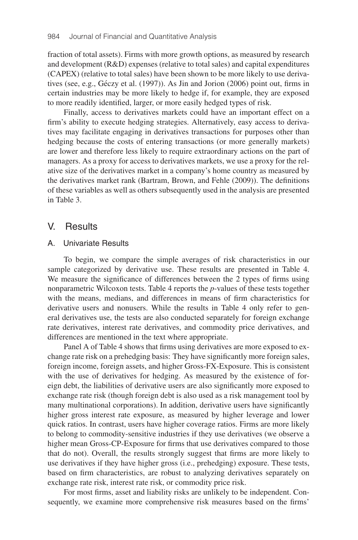fraction of total assets). Firms with more growth options, as measured by research and development (R&D) expenses (relative to total sales) and capital expenditures (CAPEX) (relative to total sales) have been shown to be more likely to use derivatives (see, e.g., Géczy et al. (1997)). As Jin and Jorion (2006) point out, firms in certain industries may be more likely to hedge if, for example, they are exposed to more readily identified, larger, or more easily hedged types of risk.

Finally, access to derivatives markets could have an important effect on a firm's ability to execute hedging strategies. Alternatively, easy access to derivatives may facilitate engaging in derivatives transactions for purposes other than hedging because the costs of entering transactions (or more generally markets) are lower and therefore less likely to require extraordinary actions on the part of managers. As a proxy for access to derivatives markets, we use a proxy for the relative size of the derivatives market in a company's home country as measured by the derivatives market rank (Bartram, Brown, and Fehle (2009)). The definitions of these variables as well as others subsequently used in the analysis are presented in Table 3.

## V. Results

#### A. Univariate Results

To begin, we compare the simple averages of risk characteristics in our sample categorized by derivative use. These results are presented in Table 4. We measure the significance of differences between the 2 types of firms using nonparametric Wilcoxon tests. Table 4 reports the *p*-values of these tests together with the means, medians, and differences in means of firm characteristics for derivative users and nonusers. While the results in Table 4 only refer to general derivatives use, the tests are also conducted separately for foreign exchange rate derivatives, interest rate derivatives, and commodity price derivatives, and differences are mentioned in the text where appropriate.

Panel A of Table 4 shows that firms using derivatives are more exposed to exchange rate risk on a prehedging basis: They have significantly more foreign sales, foreign income, foreign assets, and higher Gross-FX-Exposure. This is consistent with the use of derivatives for hedging. As measured by the existence of foreign debt, the liabilities of derivative users are also significantly more exposed to exchange rate risk (though foreign debt is also used as a risk management tool by many multinational corporations). In addition, derivative users have significantly higher gross interest rate exposure, as measured by higher leverage and lower quick ratios. In contrast, users have higher coverage ratios. Firms are more likely to belong to commodity-sensitive industries if they use derivatives (we observe a higher mean Gross-CP-Exposure for firms that use derivatives compared to those that do not). Overall, the results strongly suggest that firms are more likely to use derivatives if they have higher gross (i.e., prehedging) exposure. These tests, based on firm characteristics, are robust to analyzing derivatives separately on exchange rate risk, interest rate risk, or commodity price risk.

For most firms, asset and liability risks are unlikely to be independent. Consequently, we examine more comprehensive risk measures based on the firms'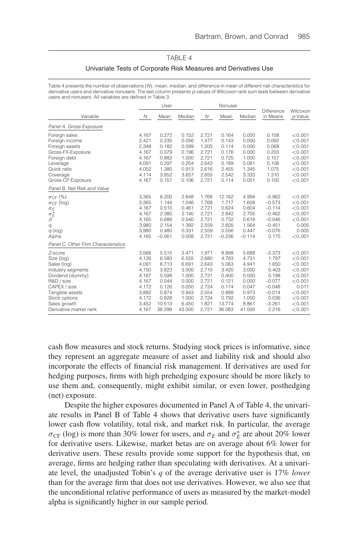#### TABLE 4

#### Univariate Tests of Corporate Risk Measures and Derivatives Use

Table 4 presents the number of observations (N), mean, median, and difference in mean of different risk characteristics for derivative users and derivative nonusers. The last column presents p-values of Wilcoxon rank sum tests between derivative users and nonusers. All variables are defined in Table 3.

|                                     |       | User     |        |       | Nonuser  |          |                        |                     |  |
|-------------------------------------|-------|----------|--------|-------|----------|----------|------------------------|---------------------|--|
| Variable                            | Ν     | Mean     | Median | Ν     | Mean     | Median   | Difference<br>in Means | Wilcoxon<br>p-Value |  |
| Panel A. Gross Exposure             |       |          |        |       |          |          |                        |                     |  |
| Foreign sales                       | 4,167 | 0.272    | 0.152  | 2,721 | 0.164    | 0.000    | 0.108                  | < 0.001             |  |
| Foreign income                      | 2.421 | 0.235    | 0.056  | 1.477 | 0.143    | 0.000    | 0.092                  | < 0.001             |  |
| Foreign assets                      | 2.349 | 0.182    | 0.099  | 1,205 | 0.114    | 0.000    | 0.068                  | < 0.001             |  |
| Gross-FX-Exposure                   | 4,167 | 0.379    | 0.196  | 2,721 | 0.176    | 0.000    | 0.203                  | < 0.001             |  |
| Foreign debt                        | 4.167 | 0.882    | 1.000  | 2.721 | 0.725    | 1.000    | 0.157                  | < 0.001             |  |
| Leverage                            | 4,091 | 0.297    | 0.254  | 2,643 | 0.189    | 0.081    | 0.108                  | < 0.001             |  |
| Quick ratio                         | 4.052 | 1.380    | 0.913  | 2.616 | 2.455    | 1.345    | 1.075                  | < 0.001             |  |
| Coverage                            | 4,114 | 3.852    | 3.657  | 2,655 | 2.542    | 3.333    | 1.310                  | < 0.001             |  |
| Gross-CP-Exposure                   | 4,167 | 0.151    | 0.106  | 2,721 | 0.114    | 0.051    | 0.100                  | < 0.001             |  |
| Panel B. Net Risk and Value         |       |          |        |       |          |          |                        |                     |  |
| $\sigma$ <sub>CF</sub> $(\%)$       | 3,365 | 6.200    | 2.848  | 1,768 | 12.162   | 4.994    | $-5.962$               | < 0.001             |  |
| $\sigma$ CF (log)                   | 3,365 | 1.144    | 1.046  | 1,768 | 1.717    | 1.608    | $-0.573$               | < 0.001             |  |
| $\sigma_E$                          | 4,167 | 0.510    | 0.461  | 2,721 | 0.624    | 0.604    | $-0.114$               | < 0.001             |  |
| $\sigma_E^*$                        | 4,167 | 2.380    | 2.140  | 2,721 | 2.842    | 2.705    | $-0.462$               | < 0.001             |  |
| $\beta$                             | 4,165 | 0.686    | 0.540  | 2,721 | 0.732    | 0.618    | $-0.046$               | < 0.001             |  |
| q                                   | 3,980 | 2.154    | 1.392  | 2,559 | 2.605    | 1.564    | $-0.451$               | 0.005               |  |
| $q$ (log)                           | 3,980 | 0.480    | 0.331  | 2,559 | 0.556    | 0.447    | $-0.076$               | 0.005               |  |
| Alpha                               | 4,165 | $-0.061$ | 0.008  | 2,721 | $-0.236$ | $-0.114$ | 0.175                  | < 0.001             |  |
| Panel C. Other Firm Characteristics |       |          |        |       |          |          |                        |                     |  |
| Z-score                             | 3,566 | 5.515    | 3.471  | 1,971 | 8.888    | 5.688    | $-3.373$               | < 0.001             |  |
| Size (log)                          | 4,126 | 6.580    | 6.555  | 2,680 | 4.783    | 4.731    | 1.797                  | < 0.001             |  |
| Sales (log)                         | 4.091 | 6.713    | 6.691  | 2.643 | 5.063    | 4.941    | 1.650                  | < 0.001             |  |
| Industry segments                   | 4,150 | 3.823    | 3.000  | 2,710 | 3.420    | 3.000    | 0.403                  | < 0.001             |  |
| Dividend (dummy)                    | 4,167 | 0.598    | 1.000  | 2,721 | 0.400    | 0.000    | 0.198                  | < 0.001             |  |
| R&D / size                          | 4,167 | 0.044    | 0.000  | 2,721 | 0.121    | 0.000    | $-0.077$               | < 0.001             |  |
| CAPEX / size                        | 4,172 | 0.126    | 0.050  | 2,724 | 0.174    | 0.047    | $-0.048$               | 0.011               |  |
| Tangible assets                     | 3.882 | 0.874    | 0.943  | 2,554 | 0.888    | 0.973    | $-0.014$               | < 0.001             |  |
| Stock options                       | 4,172 | 0.828    | 1.000  | 2,724 | 0.792    | 1.000    | 0.036                  | < 0.001             |  |
| Sales growth                        | 3,452 | 10.513   | 6.450  | 1,821 | 13.774   | 8.861    | $-3.261$               | < 0.001             |  |
| Derivative market rank              | 4,167 | 38.299   | 43.000 | 2,721 | 36.083   | 41.000   | 2.216                  | < 0.001             |  |

cash flow measures and stock returns. Studying stock prices is informative, since they represent an aggregate measure of asset and liability risk and should also incorporate the effects of financial risk management. If derivatives are used for hedging purposes, firms with high prehedging exposure should be more likely to use them and, consequently, might exhibit similar, or even lower, posthedging (net) exposure.

Despite the higher exposures documented in Panel A of Table 4, the univariate results in Panel B of Table 4 shows that derivative users have significantly lower cash flow volatility, total risk, and market risk. In particular, the average  $\sigma_{CF}$  (log) is more than 30% lower for users, and  $\sigma_E$  and  $\sigma_E^*$  are about 20% lower for derivative users. Likewise, market betas are on average about 6% lower for derivative users. These results provide some support for the hypothesis that, on average, firms are hedging rather than speculating with derivatives. At a univariate level, the unadjusted Tobin's *q* of the average derivative user is 17% *lower* than for the average firm that does not use derivatives. However, we also see that the unconditional relative performance of users as measured by the market-model alpha is significantly higher in our sample period.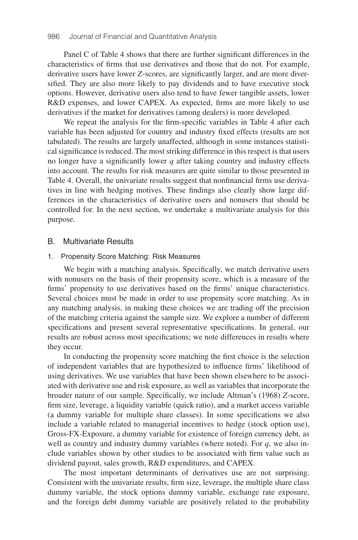Panel C of Table 4 shows that there are further significant differences in the characteristics of firms that use derivatives and those that do not. For example, derivative users have lower *Z*-scores, are significantly larger, and are more diversified. They are also more likely to pay dividends and to have executive stock options. However, derivative users also tend to have fewer tangible assets, lower R&D expenses, and lower CAPEX. As expected, firms are more likely to use derivatives if the market for derivatives (among dealers) is more developed.

We repeat the analysis for the firm-specific variables in Table 4 after each variable has been adjusted for country and industry fixed effects (results are not tabulated). The results are largely unaffected, although in some instances statistical significance is reduced. The most striking difference in this respect is that users no longer have a significantly lower *q* after taking country and industry effects into account. The results for risk measures are quite similar to those presented in Table 4. Overall, the univariate results suggest that nonfinancial firms use derivatives in line with hedging motives. These findings also clearly show large differences in the characteristics of derivative users and nonusers that should be controlled for. In the next section, we undertake a multivariate analysis for this purpose.

#### B. Multivariate Results

#### 1. Propensity Score Matching: Risk Measures

We begin with a matching analysis. Specifically, we match derivative users with nonusers on the basis of their propensity score, which is a measure of the firms' propensity to use derivatives based on the firms' unique characteristics. Several choices must be made in order to use propensity score matching. As in any matching analysis, in making these choices we are trading off the precision of the matching criteria against the sample size. We explore a number of different specifications and present several representative specifications. In general, our results are robust across most specifications; we note differences in results where they occur.

In conducting the propensity score matching the first choice is the selection of independent variables that are hypothesized to influence firms' likelihood of using derivatives. We use variables that have been shown elsewhere to be associated with derivative use and risk exposure, as well as variables that incorporate the broader nature of our sample. Specifically, we include Altman's (1968) *Z*-score, firm size, leverage, a liquidity variable (quick ratio), and a market access variable (a dummy variable for multiple share classes). In some specifications we also include a variable related to managerial incentives to hedge (stock option use), Gross-FX-Exposure, a dummy variable for existence of foreign currency debt, as well as country and industry dummy variables (where noted). For *q*, we also include variables shown by other studies to be associated with firm value such as dividend payout, sales growth, R&D expenditures, and CAPEX.

The most important determinants of derivatives use are not surprising. Consistent with the univariate results, firm size, leverage, the multiple share class dummy variable, the stock options dummy variable, exchange rate exposure, and the foreign debt dummy variable are positively related to the probability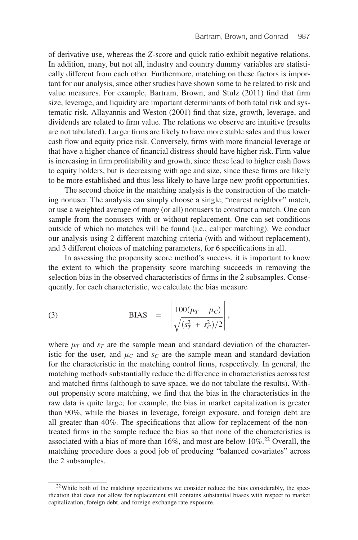of derivative use, whereas the *Z*-score and quick ratio exhibit negative relations. In addition, many, but not all, industry and country dummy variables are statistically different from each other. Furthermore, matching on these factors is important for our analysis, since other studies have shown some to be related to risk and value measures. For example, Bartram, Brown, and Stulz (2011) find that firm size, leverage, and liquidity are important determinants of both total risk and systematic risk. Allayannis and Weston (2001) find that size, growth, leverage, and dividends are related to firm value. The relations we observe are intuitive (results are not tabulated). Larger firms are likely to have more stable sales and thus lower cash flow and equity price risk. Conversely, firms with more financial leverage or that have a higher chance of financial distress should have higher risk. Firm value is increasing in firm profitability and growth, since these lead to higher cash flows to equity holders, but is decreasing with age and size, since these firms are likely to be more established and thus less likely to have large new profit opportunities.

The second choice in the matching analysis is the construction of the matching nonuser. The analysis can simply choose a single, "nearest neighbor" match, or use a weighted average of many (or all) nonusers to construct a match. One can sample from the nonusers with or without replacement. One can set conditions outside of which no matches will be found (i.e., caliper matching). We conduct our analysis using 2 different matching criteria (with and without replacement), and 3 different choices of matching parameters, for 6 specifications in all.

In assessing the propensity score method's success, it is important to know the extent to which the propensity score matching succeeds in removing the selection bias in the observed characteristics of firms in the 2 subsamples. Consequently, for each characteristic, we calculate the bias measure

(3) 
$$
BIAS = \left| \frac{100(\mu_T - \mu_C)}{\sqrt{(s_T^2 + s_C^2)/2}} \right|,
$$

where  $\mu_T$  and  $s_T$  are the sample mean and standard deviation of the characteristic for the user, and  $\mu_C$  and  $s_C$  are the sample mean and standard deviation for the characteristic in the matching control firms, respectively. In general, the matching methods substantially reduce the difference in characteristics across test and matched firms (although to save space, we do not tabulate the results). Without propensity score matching, we find that the bias in the characteristics in the raw data is quite large; for example, the bias in market capitalization is greater than 90%, while the biases in leverage, foreign exposure, and foreign debt are all greater than 40%. The specifications that allow for replacement of the nontreated firms in the sample reduce the bias so that none of the characteristics is associated with a bias of more than 16%, and most are below  $10\%$ <sup>22</sup> Overall, the matching procedure does a good job of producing "balanced covariates" across the 2 subsamples.

<sup>22</sup>While both of the matching specifications we consider reduce the bias considerably, the specification that does not allow for replacement still contains substantial biases with respect to market capitalization, foreign debt, and foreign exchange rate exposure.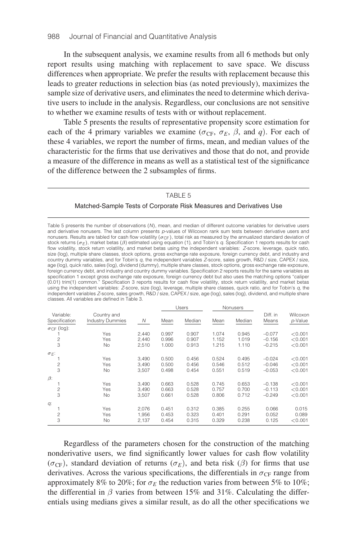In the subsequent analysis, we examine results from all 6 methods but only report results using matching with replacement to save space. We discuss differences when appropriate. We prefer the results with replacement because this leads to greater reductions in selection bias (as noted previously), maximizes the sample size of derivative users, and eliminates the need to determine which derivative users to include in the analysis. Regardless, our conclusions are not sensitive to whether we examine results of tests with or without replacement.

Table 5 presents the results of representative propensity score estimation for each of the 4 primary variables we examine ( $\sigma_{CF}$ ,  $\sigma_E$ ,  $\beta$ , and *q*). For each of these 4 variables, we report the number of firms, mean, and median values of the characteristic for the firms that use derivatives and those that do not, and provide a measure of the difference in means as well as a statistical test of the significance of the difference between the 2 subsamples of firms.

#### TABLE 5

#### Matched-Sample Tests of Corporate Risk Measures and Derivatives Use

Table 5 presents the number of observations (N), mean, and median of different outcome variables for derivative users and derivative nonusers. The last column presents p-values of Wilcoxon rank sum tests between derivative users and nonusers. Results are tabled for cash flow volatility ( $\sigma$ <sub>CF</sub>), total risk as measured by the annualized standard deviation of stock returns ( $σE$ ), market betas ( $β$ ) estimated using equation (1), and Tobin's q. Specification 1 reports results for cash flow volatility, stock return volatility, and market betas using the independent variables: Z-score, leverage, quick ratio, size (log), multiple share classes, stock options, gross exchange rate exposure, foreign currency debt, and industry and<br>country dummy variables, and for Tobin's q, the independent variables Z-score, sales growth, R&D / si age (log), quick ratio, sales (log), dividend (dummy), multiple share classes, stock options, gross exchange rate exposure, foreign currency debt, and industry and country dummy variables. Specification 2 reports results for the same variables as specification 1 except gross exchange rate exposure, foreign currency debt but also uses the matching options "caliper (0.01) trim(1) common." Specification 3 reports results for cash flow volatility, stock return volatility, and market betas using the independent variables: Z-score, size (log), leverage, multiple share classes, quick ratio, and for Tobin's q, the independent variables Z-score, sales growth, R&D / size, CAPEX / size, age (log), sales (log), dividend, and multiple share classes. All variables are defined in Table 3.

|                               |                                        |       |       | Users  |       | Nonusers |                   |                     |  |
|-------------------------------|----------------------------------------|-------|-------|--------|-------|----------|-------------------|---------------------|--|
| Variable:<br>Specification    | Country and<br><b>Industry Dummies</b> | Ν     | Mean  | Median | Mean  | Median   | Diff. in<br>Means | Wilcoxon<br>p-Value |  |
| $\sigma$ <sub>CF</sub> (log): |                                        |       |       |        |       |          |                   |                     |  |
|                               | Yes                                    | 2.440 | 0.997 | 0.907  | 1.074 | 0.945    | $-0.077$          | < 0.001             |  |
| $\overline{c}$                | Yes                                    | 2.440 | 0.996 | 0.907  | 1.152 | 1.019    | $-0.156$          | < 0.001             |  |
| 3                             | <b>No</b>                              | 2,510 | 1.000 | 0.913  | 1.215 | 1.110    | $-0.215$          | < 0.001             |  |
| $\sigma$ F:                   |                                        |       |       |        |       |          |                   |                     |  |
|                               | Yes                                    | 3.490 | 0.500 | 0.456  | 0.524 | 0.495    | $-0.024$          | < 0.001             |  |
| $\overline{c}$                | Yes                                    | 3.490 | 0.500 | 0.456  | 0.546 | 0.512    | $-0.046$          | < 0.001             |  |
| 3                             | <b>No</b>                              | 3.507 | 0.498 | 0.454  | 0.551 | 0.519    | $-0.053$          | < 0.001             |  |
| $\beta$ :                     |                                        |       |       |        |       |          |                   |                     |  |
|                               | Yes                                    | 3.490 | 0.663 | 0.528  | 0.745 | 0.653    | $-0.138$          | < 0.001             |  |
| $\overline{c}$                | Yes                                    | 3.490 | 0.663 | 0.528  | 0.757 | 0.700    | $-0.113$          | < 0.001             |  |
| 3                             | <b>No</b>                              | 3.507 | 0.661 | 0.528  | 0.806 | 0.712    | $-0.249$          | < 0.001             |  |
| q:                            |                                        |       |       |        |       |          |                   |                     |  |
|                               | Yes                                    | 2.076 | 0.451 | 0.312  | 0.385 | 0.255    | 0.066             | 0.015               |  |
| $\overline{c}$                | Yes                                    | 1,956 | 0.453 | 0.323  | 0.401 | 0.291    | 0.052             | 0.089               |  |
| 3                             | <b>No</b>                              | 2.137 | 0.454 | 0.315  | 0.329 | 0.238    | 0.125             | < 0.001             |  |

Regardless of the parameters chosen for the construction of the matching nonderivative users, we find significantly lower values for cash flow volatility  $(\sigma_{CF})$ , standard deviation of returns  $(\sigma_E)$ , and beta risk  $(\beta)$  for firms that use derivatives. Across the various specifications, the differentials in  $\sigma_{CF}$  range from approximately 8% to 20%; for  $\sigma_E$  the reduction varies from between 5% to 10%; the differential in  $\beta$  varies from between 15% and 31%. Calculating the differentials using medians gives a similar result, as do all the other specifications we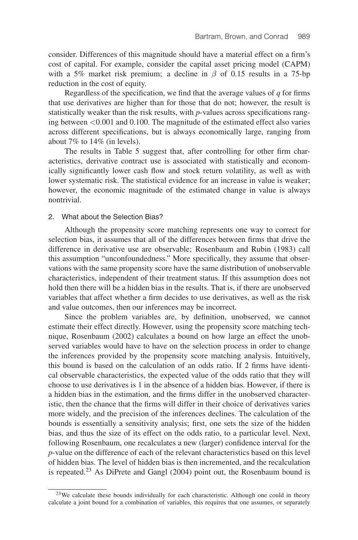consider. Differences of this magnitude should have a material effect on a firm's cost of capital. For example, consider the capital asset pricing model (CAPM) with a 5% market risk premium; a decline in  $\beta$  of 0.15 results in a 75-bp reduction in the cost of equity.

Regardless of the specification, we find that the average values of *q* for firms that use derivatives are higher than for those that do not; however, the result is statistically weaker than the risk results, with *p*-values across specifications ranging between <0.001 and 0.100. The magnitude of the estimated effect also varies across different specifications, but is always economically large, ranging from about 7% to 14% (in levels).

The results in Table 5 suggest that, after controlling for other firm characteristics, derivative contract use is associated with statistically and economically significantly lower cash flow and stock return volatility, as well as with lower systematic risk. The statistical evidence for an increase in value is weaker; however, the economic magnitude of the estimated change in value is always nontrivial.

#### 2. What about the Selection Bias?

Although the propensity score matching represents one way to correct for selection bias, it assumes that all of the differences between firms that drive the difference in derivative use are observable; Rosenbaum and Rubin (1983) call this assumption "unconfoundedness." More specifically, they assume that observations with the same propensity score have the same distribution of unobservable characteristics, independent of their treatment status. If this assumption does not hold then there will be a hidden bias in the results. That is, if there are unobserved variables that affect whether a firm decides to use derivatives, as well as the risk and value outcomes, then our inferences may be incorrect.

Since the problem variables are, by definition, unobserved, we cannot estimate their effect directly. However, using the propensity score matching technique, Rosenbaum (2002) calculates a bound on how large an effect the unobserved variables would have to have on the selection process in order to change the inferences provided by the propensity score matching analysis. Intuitively, this bound is based on the calculation of an odds ratio. If 2 firms have identical observable characteristics, the expected value of the odds ratio that they will choose to use derivatives is 1 in the absence of a hidden bias. However, if there is a hidden bias in the estimation, and the firms differ in the unobserved characteristic, then the chance that the firms will differ in their choice of derivatives varies more widely, and the precision of the inferences declines. The calculation of the bounds is essentially a sensitivity analysis; first, one sets the size of the hidden bias, and thus the size of its effect on the odds ratio, to a particular level. Next, following Rosenbaum, one recalculates a new (larger) confidence interval for the *p*-value on the difference of each of the relevant characteristics based on this level of hidden bias. The level of hidden bias is then incremented, and the recalculation is repeated.<sup>23</sup> As DiPrete and Gangl (2004) point out, the Rosenbaum bound is

 $23$ We calculate these bounds individually for each characteristic. Although one could in theory calculate a joint bound for a combination of variables, this requires that one assumes, or separately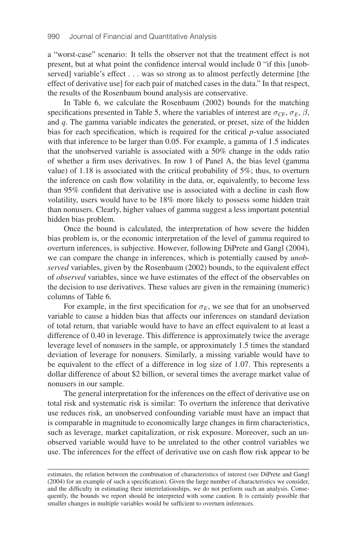a "worst-case" scenario: It tells the observer not that the treatment effect is not present, but at what point the confidence interval would include 0 "if this [unobserved] variable's effect . . . was so strong as to almost perfectly determine [the effect of derivative use] for each pair of matched cases in the data." In that respect, the results of the Rosenbaum bound analysis are conservative.

In Table 6, we calculate the Rosenbaum (2002) bounds for the matching specifications presented in Table 5, where the variables of interest are  $\sigma_{CF}$ ,  $\sigma_F$ ,  $\beta$ , and *q*. The gamma variable indicates the generated, or preset, size of the hidden bias for each specification, which is required for the critical *p*-value associated with that inference to be larger than 0.05. For example, a gamma of 1.5 indicates that the unobserved variable is associated with a 50% change in the odds ratio of whether a firm uses derivatives. In row 1 of Panel A, the bias level (gamma value) of 1.18 is associated with the critical probability of 5%; thus, to overturn the inference on cash flow volatility in the data, or, equivalently, to become less than 95% confident that derivative use is associated with a decline in cash flow volatility, users would have to be 18% more likely to possess some hidden trait than nonusers. Clearly, higher values of gamma suggest a less important potential hidden bias problem.

Once the bound is calculated, the interpretation of how severe the hidden bias problem is, or the economic interpretation of the level of gamma required to overturn inferences, is subjective. However, following DiPrete and Gangl (2004), we can compare the change in inferences, which is potentially caused by *unobserved* variables, given by the Rosenbaum (2002) bounds, to the equivalent effect of *observed* variables, since we have estimates of the effect of the observables on the decision to use derivatives. These values are given in the remaining (numeric) columns of Table 6.

For example, in the first specification for  $\sigma_E$ , we see that for an unobserved variable to cause a hidden bias that affects our inferences on standard deviation of total return, that variable would have to have an effect equivalent to at least a difference of 0.40 in leverage. This difference is approximately twice the average leverage level of nonusers in the sample, or approximately 1.5 times the standard deviation of leverage for nonusers. Similarly, a missing variable would have to be equivalent to the effect of a difference in log size of 1.07. This represents a dollar difference of about \$2 billion, or several times the average market value of nonusers in our sample.

The general interpretation for the inferences on the effect of derivative use on total risk and systematic risk is similar: To overturn the inference that derivative use reduces risk, an unobserved confounding variable must have an impact that is comparable in magnitude to economically large changes in firm characteristics, such as leverage, market capitalization, or risk exposure. Moreover, such an unobserved variable would have to be unrelated to the other control variables we use. The inferences for the effect of derivative use on cash flow risk appear to be

estimates, the relation between the combination of characteristics of interest (see DiPrete and Gangl (2004) for an example of such a specification). Given the large number of characteristics we consider, and the difficulty in estimating their interrelationships, we do not perform such an analysis. Consequently, the bounds we report should be interpreted with some caution. It is certainly possible that smaller changes in multiple variables would be sufficient to overturn inferences.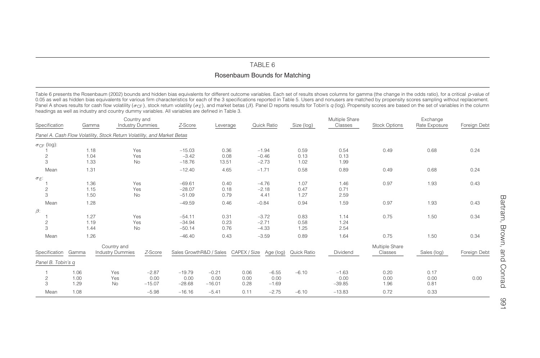## TABLE 6

#### Rosenbaum Bounds for Matching

Table 6 presents the Rosenbaum (2002) bounds and hidden bias equivalents for different outcome variables. Each set of results shows columns for gamma (the change in the odds ratio), for a critical p-value of 0.05 as well as hidden bias equivalents for various firm characteristics for each of the 3 specifications reported in Table 5. Users and nonusers are matched by propensity scores sampling without replacement. Panel A shows results for cash flow volatility ( $\sigma_{\rm CF}$ ), stock return volatility ( $\sigma_F$ ), and market betas ( $\beta$ ). Panel D reports results for Tobin's q (log). Propensity scores are based on the set of variables in the headings as well as industry and country dummy variables. All variables are defined in Table 3.

| Specification      | Gamma |                                                                          | Country and<br><b>Industry Dummies</b> | Z-Score                              | Leverage |      | Quick Ratio | Size (log)  | Multiple Share<br>Classes | <b>Stock Options</b> | Exchange<br>Rate Exposure | Foreign Debt |
|--------------------|-------|--------------------------------------------------------------------------|----------------------------------------|--------------------------------------|----------|------|-------------|-------------|---------------------------|----------------------|---------------------------|--------------|
|                    |       |                                                                          |                                        |                                      |          |      |             |             |                           |                      |                           |              |
|                    |       | Panel A. Cash Flow Volatility, Stock Return Volatility, and Market Betas |                                        |                                      |          |      |             |             |                           |                      |                           |              |
| $\sigma$ CF (log): |       |                                                                          |                                        |                                      |          |      |             |             |                           |                      |                           |              |
|                    | 1.18  |                                                                          | Yes                                    | $-15.03$                             | 0.36     |      | $-1.94$     | 0.59        | 0.54                      | 0.49                 | 0.68                      | 0.24         |
| 2                  | 1.04  |                                                                          | Yes                                    | $-3.42$                              | 0.08     |      | $-0.46$     | 0.13        | 0.13                      |                      |                           |              |
| 3                  | 1.33  |                                                                          | <b>No</b>                              | $-18.76$                             | 13.51    |      | $-2.73$     | 1.02        | 1.99                      |                      |                           |              |
| Mean               | 1.31  |                                                                          |                                        | $-12.40$                             | 4.65     |      | $-1.71$     | 0.58        | 0.89                      | 0.49                 | 0.68                      | 0.24         |
| $\sigma E$         |       |                                                                          |                                        |                                      |          |      |             |             |                           |                      |                           |              |
|                    | 1.36  |                                                                          | Yes                                    | $-69.61$                             | 0.40     |      | $-4.76$     | 1.07        | 1.46                      | 0.97                 | 1.93                      | 0.43         |
| $\overline{c}$     | 1.15  |                                                                          | Yes                                    | $-28.07$                             | 0.18     |      | $-2.18$     | 0.47        | 0.71                      |                      |                           |              |
| 3                  | 1.50  |                                                                          | No                                     | $-51.09$                             | 0.79     |      | 4.41        | 1.27        | 2.59                      |                      |                           |              |
| Mean               | 1.28  |                                                                          |                                        | $-49.59$                             | 0.46     |      | $-0.84$     | 0.94        | 1.59                      | 0.97                 | 1.93                      | 0.43         |
| $\beta$ :          |       |                                                                          |                                        |                                      |          |      |             |             |                           |                      |                           |              |
|                    | 1.27  |                                                                          | Yes                                    | $-54.11$                             | 0.31     |      | $-3.72$     | 0.83        | 1.14                      | 0.75                 | 1.50                      | 0.34         |
| $\overline{c}$     | 1.19  |                                                                          | Yes                                    | $-34.94$                             | 0.23     |      | $-2.71$     | 0.58        | 1.24                      |                      |                           |              |
| 3                  | 1.44  |                                                                          | No                                     | $-50.14$                             | 0.76     |      | $-4.33$     | 1.25        | 2.54                      |                      |                           |              |
| Mean               | 1.26  |                                                                          |                                        | $-46.40$                             | 0.43     |      | $-3.59$     | 0.89        | 1.64                      | 0.75                 | 1.50                      | 0.34         |
|                    |       | Country and                                                              |                                        |                                      |          |      |             |             |                           | Multiple Share       |                           |              |
| Specification      | Gamma | <b>Industry Dummies</b>                                                  | Z-Score                                | Sales GrowthR&D / Sales CAPEX / Size |          |      | Age (log)   | Quick Ratio | Dividend                  | Classes              | Sales (log)               | Foreign Debt |
| Panel B. Tobin's q |       |                                                                          |                                        |                                      |          |      |             |             |                           |                      |                           |              |
|                    | 1.06  | Yes                                                                      | $-2.87$                                | $-19.79$                             | $-0.21$  | 0.06 | $-6.55$     | $-6.10$     | $-1.63$                   | 0.20                 | 0.17                      |              |
| $\overline{c}$     | 1.00  | Yes                                                                      | 0.00                                   | 0.00                                 | 0.00     | 0.00 | 0.00        |             | 0.00                      | 0.00                 | 0.00                      | 0.00         |
| 3                  | 1.29  | No                                                                       | $-15.07$                               | $-28.68$                             | $-16.01$ | 0.28 | $-1.69$     |             | $-39.85$                  | 1.96                 | 0.81                      |              |
| Mean               | 1.08  |                                                                          | $-5.98$                                | $-16.16$                             | $-5.41$  | 0.11 | $-2.75$     | $-6.10$     | $-13.83$                  | 0.72                 | 0.33                      |              |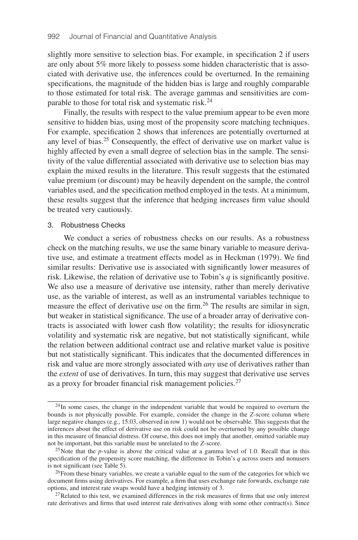slightly more sensitive to selection bias. For example, in specification 2 if users are only about 5% more likely to possess some hidden characteristic that is associated with derivative use, the inferences could be overturned. In the remaining specifications, the magnitude of the hidden bias is large and roughly comparable to those estimated for total risk. The average gammas and sensitivities are comparable to those for total risk and systematic risk.<sup>24</sup>

Finally, the results with respect to the value premium appear to be even more sensitive to hidden bias, using most of the propensity score matching techniques. For example, specification 2 shows that inferences are potentially overturned at any level of bias.25 Consequently, the effect of derivative use on market value is highly affected by even a small degree of selection bias in the sample. The sensitivity of the value differential associated with derivative use to selection bias may explain the mixed results in the literature. This result suggests that the estimated value premium (or discount) may be heavily dependent on the sample, the control variables used, and the specification method employed in the tests. At a minimum, these results suggest that the inference that hedging increases firm value should be treated very cautiously.

#### 3. Robustness Checks

We conduct a series of robustness checks on our results. As a robustness check on the matching results, we use the same binary variable to measure derivative use, and estimate a treatment effects model as in Heckman (1979). We find similar results: Derivative use is associated with significantly lower measures of risk. Likewise, the relation of derivative use to Tobin's *q* is significantly positive. We also use a measure of derivative use intensity, rather than merely derivative use, as the variable of interest, as well as an instrumental variables technique to measure the effect of derivative use on the firm.<sup>26</sup> The results are similar in sign, but weaker in statistical significance. The use of a broader array of derivative contracts is associated with lower cash flow volatility; the results for idiosyncratic volatility and systematic risk are negative, but not statistically significant, while the relation between additional contract use and relative market value is positive but not statistically significant. This indicates that the documented differences in risk and value are more strongly associated with *any* use of derivatives rather than the *extent* of use of derivatives. In turn, this may suggest that derivative use serves as a proxy for broader financial risk management policies.<sup>27</sup>

<sup>&</sup>lt;sup>24</sup>In some cases, the change in the independent variable that would be required to overturn the bounds is not physically possible. For example, consider the change in the *Z*-score column where large negative changes (e.g., 15.03, observed in row 1) would not be observable. This suggests that the inferences about the effect of derivative use on risk could not be overturned by any possible change in this measure of financial distress. Of course, this does not imply that another, omitted variable may not be important, but this variable must be unrelated to the *Z*-score.

<sup>&</sup>lt;sup>25</sup>Note that the *p*-value is above the critical value at a gamma level of 1.0. Recall that in this specification of the propensity score matching, the difference in Tobin's *q* across users and nonusers is not significant (see Table 5).

 $^{26}$ From these binary variables, we create a variable equal to the sum of the categories for which we document firms using derivatives. For example, a firm that uses exchange rate forwards, exchange rate options, and interest rate swaps would have a hedging intensity of 3.

 $27$ Related to this test, we examined differences in the risk measures of firms that use only interest rate derivatives and firms that used interest rate derivatives along with some other contract(s). Since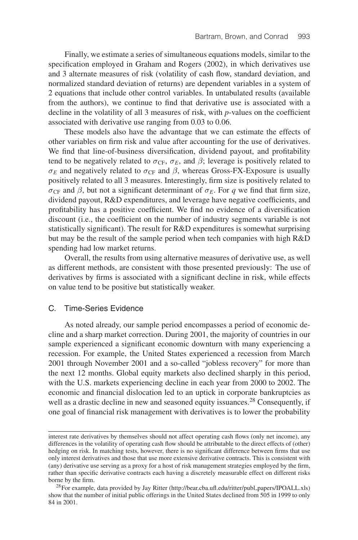Finally, we estimate a series of simultaneous equations models, similar to the specification employed in Graham and Rogers (2002), in which derivatives use and 3 alternate measures of risk (volatility of cash flow, standard deviation, and normalized standard deviation of returns) are dependent variables in a system of 2 equations that include other control variables. In untabulated results (available from the authors), we continue to find that derivative use is associated with a decline in the volatility of all 3 measures of risk, with *p*-values on the coefficient associated with derivative use ranging from 0.03 to 0.06.

These models also have the advantage that we can estimate the effects of other variables on firm risk and value after accounting for the use of derivatives. We find that line-of-business diversification, dividend payout, and profitability tend to be negatively related to  $\sigma_{CF}$ ,  $\sigma_F$ , and  $\beta$ ; leverage is positively related to  $\sigma_E$  and negatively related to  $\sigma_{CF}$  and  $\beta$ , whereas Gross-FX-Exposure is usually positively related to all 3 measures. Interestingly, firm size is positively related to  $\sigma_{CF}$  and  $\beta$ , but not a significant determinant of  $\sigma_F$ . For *q* we find that firm size, dividend payout, R&D expenditures, and leverage have negative coefficients, and profitability has a positive coefficient. We find no evidence of a diversification discount (i.e., the coefficient on the number of industry segments variable is not statistically significant). The result for R&D expenditures is somewhat surprising but may be the result of the sample period when tech companies with high R&D spending had low market returns.

Overall, the results from using alternative measures of derivative use, as well as different methods, are consistent with those presented previously: The use of derivatives by firms is associated with a significant decline in risk, while effects on value tend to be positive but statistically weaker.

### C. Time-Series Evidence

As noted already, our sample period encompasses a period of economic decline and a sharp market correction. During 2001, the majority of countries in our sample experienced a significant economic downturn with many experiencing a recession. For example, the United States experienced a recession from March 2001 through November 2001 and a so-called "jobless recovery" for more than the next 12 months. Global equity markets also declined sharply in this period, with the U.S. markets experiencing decline in each year from 2000 to 2002. The economic and financial dislocation led to an uptick in corporate bankruptcies as well as a drastic decline in new and seasoned equity issuances.<sup>28</sup> Consequently, if one goal of financial risk management with derivatives is to lower the probability

interest rate derivatives by themselves should not affect operating cash flows (only net income), any differences in the volatility of operating cash flow should be attributable to the direct effects of (other) hedging on risk. In matching tests, however, there is no significant difference between firms that use only interest derivatives and those that use more extensive derivative contracts. This is consistent with (any) derivative use serving as a proxy for a host of risk management strategies employed by the firm, rather than specific derivative contracts each having a discretely measurable effect on different risks borne by the firm.

<sup>&</sup>lt;sup>28</sup>For example, data provided by Jay Ritter (http://bear.cba.ufl.edu/ritter/publ\_papers/IPOALL.xls) show that the number of initial public offerings in the United States declined from 505 in 1999 to only 84 in 2001.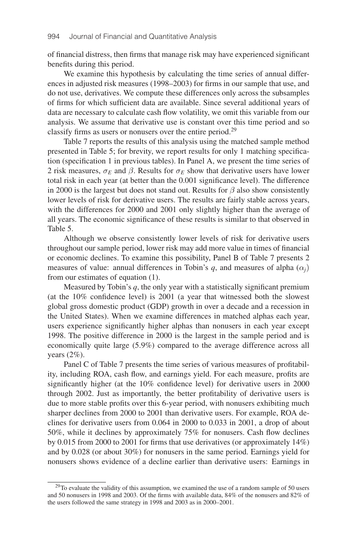of financial distress, then firms that manage risk may have experienced significant benefits during this period.

We examine this hypothesis by calculating the time series of annual differences in adjusted risk measures (1998–2003) for firms in our sample that use, and do not use, derivatives. We compute these differences only across the subsamples of firms for which sufficient data are available. Since several additional years of data are necessary to calculate cash flow volatility, we omit this variable from our analysis. We assume that derivative use is constant over this time period and so classify firms as users or nonusers over the entire period.29

Table 7 reports the results of this analysis using the matched sample method presented in Table 5; for brevity, we report results for only 1 matching specification (specification 1 in previous tables). In Panel A, we present the time series of 2 risk measures,  $\sigma_E$  and  $\beta$ . Results for  $\sigma_E$  show that derivative users have lower total risk in each year (at better than the 0.001 significance level). The difference in 2000 is the largest but does not stand out. Results for  $\beta$  also show consistently lower levels of risk for derivative users. The results are fairly stable across years, with the differences for 2000 and 2001 only slightly higher than the average of all years. The economic significance of these results is similar to that observed in Table 5.

Although we observe consistently lower levels of risk for derivative users throughout our sample period, lower risk may add more value in times of financial or economic declines. To examine this possibility, Panel B of Table 7 presents 2 measures of value: annual differences in Tobin's *q*, and measures of alpha  $(\alpha_i)$ from our estimates of equation (1).

Measured by Tobin's *q*, the only year with a statistically significant premium (at the 10% confidence level) is 2001 (a year that witnessed both the slowest global gross domestic product (GDP) growth in over a decade and a recession in the United States). When we examine differences in matched alphas each year, users experience significantly higher alphas than nonusers in each year except 1998. The positive difference in 2000 is the largest in the sample period and is economically quite large (5.9%) compared to the average difference across all years  $(2\%)$ .

Panel C of Table 7 presents the time series of various measures of profitability, including ROA, cash flow, and earnings yield. For each measure, profits are significantly higher (at the 10% confidence level) for derivative users in 2000 through 2002. Just as importantly, the better profitability of derivative users is due to more stable profits over this 6-year period, with nonusers exhibiting much sharper declines from 2000 to 2001 than derivative users. For example, ROA declines for derivative users from 0.064 in 2000 to 0.033 in 2001, a drop of about 50%, while it declines by approximately 75% for nonusers. Cash flow declines by 0.015 from 2000 to 2001 for firms that use derivatives (or approximately 14%) and by 0.028 (or about 30%) for nonusers in the same period. Earnings yield for nonusers shows evidence of a decline earlier than derivative users: Earnings in

<sup>&</sup>lt;sup>29</sup>To evaluate the validity of this assumption, we examined the use of a random sample of 50 users and 50 nonusers in 1998 and 2003. Of the firms with available data, 84% of the nonusers and 82% of the users followed the same strategy in 1998 and 2003 as in 2000–2001.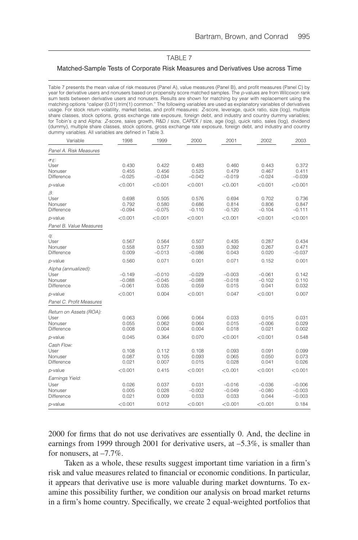#### TABLE 7

#### Matched-Sample Tests of Corporate Risk Measures and Derivatives Use across Time

Table 7 presents the mean value of risk measures (Panel A), value measures (Panel B), and profit measures (Panel C) by year for derivative users and nonusers based on propensity score matched samples. The p-values are from Wilcoxon rank sum tests between derivative users and nonusers. Results are shown for matching by year with replacement using the<br>matching options "caliper (0.01) trim(1) common." The following variables are used as explanatory variables usage. For stock return volatility, market betas, and profit measures: Z-score, leverage, quick ratio, size (log), multiple share classes, stock options, gross exchange rate exposure, foreign debt, and industry and country dummy variables; for Tobin's q and Alpha: Z-score, sales growth, R&D / size, CAPEX / size, age (log), quick ratio, sales (log), dividend (dummy), multiple share classes, stock options, gross exchange rate exposure, foreign debt, and industry and country dummy variables. All variables are defined in Table 3.

| Variable                                                        | 1998                                        | 1999                                   | 2000                                     | 2001                                     | 2002                                     | 2003                                      |
|-----------------------------------------------------------------|---------------------------------------------|----------------------------------------|------------------------------------------|------------------------------------------|------------------------------------------|-------------------------------------------|
| Panel A. Risk Measures                                          |                                             |                                        |                                          |                                          |                                          |                                           |
| $\sigma_E$ :<br>User<br>Nonuser<br>Difference                   | 0.430<br>0.455<br>$-0.025$                  | 0.422<br>0.456<br>$-0.034$             | 0.483<br>0.525<br>$-0.042$               | 0.460<br>0.479<br>$-0.019$               | 0.443<br>0.467<br>$-0.024$               | 0.372<br>0.411<br>$-0.039$                |
| p-value                                                         | < 0.001                                     | < 0.001                                | < 0.001                                  | < 0.001                                  | < 0.001                                  | < 0.001                                   |
| $\beta$ :<br>User<br>Nonuser<br>Difference                      | 0.698<br>0.792<br>$-0.094$                  | 0.505<br>0.580<br>$-0.075$             | 0.576<br>0.686<br>$-0.110$               | 0.694<br>0.814<br>$-0.120$               | 0.702<br>0.806<br>$-0.104$               | 0.736<br>0.847<br>$-0.111$                |
| p-value                                                         | < 0.001                                     | < 0.001                                | < 0.001                                  | < 0.001                                  | < 0.001                                  | < 0.001                                   |
| Panel B. Value Measures                                         |                                             |                                        |                                          |                                          |                                          |                                           |
| q:<br>User<br>Nonuser<br>Difference                             | 0.567<br>0.558<br>0.009                     | 0.564<br>0.577<br>$-0.013$             | 0.507<br>0.593<br>$-0.086$               | 0.435<br>0.392<br>0.043                  | 0.287<br>0.267<br>0.020                  | 0.434<br>0.471<br>$-0.037$                |
| p-value                                                         | 0.560                                       | 0.071                                  | 0.001                                    | 0.071                                    | 0.152                                    | 0.001                                     |
| Alpha (annualized):<br>User<br>Nonuser<br>Difference<br>p-value | $-0.149$<br>$-0.088$<br>$-0.061$<br>< 0.001 | $-0.010$<br>$-0.045$<br>0.035<br>0.004 | $-0.029$<br>$-0.088$<br>0.059<br>< 0.001 | $-0.003$<br>$-0.018$<br>0.015<br>0.047   | $-0.061$<br>$-0.102$<br>0.041<br>< 0.001 | 0.142<br>0.110<br>0.032<br>0.007          |
| Panel C. Profit Measures                                        |                                             |                                        |                                          |                                          |                                          |                                           |
| Return on Assets (ROA):<br>User<br>Nonuser<br>Difference        | 0.063<br>0.055<br>0.008                     | 0.066<br>0.062<br>0.004                | 0.064<br>0.060<br>0.004                  | 0.033<br>0.015<br>0.018                  | 0.015<br>$-0.006$<br>0.021               | 0.031<br>0.029<br>0.002                   |
| p-value                                                         | 0.045                                       | 0.364                                  | 0.070                                    | < 0.001                                  | < 0.001                                  | 0.548                                     |
| Cash Flow:<br>User<br>Nonuser<br>Difference                     | 0.108<br>0.087<br>0.021                     | 0.112<br>0.105<br>0.007                | 0.108<br>0.093<br>0.015                  | 0.093<br>0.065<br>0.028                  | 0.091<br>0.050<br>0.041                  | 0.099<br>0.073<br>0.026                   |
| p-value                                                         | < 0.001                                     | 0.415                                  | < 0.001                                  | < 0.001                                  | < 0.001                                  | < 0.001                                   |
| Earnings Yield:<br>User<br>Nonuser<br>Difference<br>p-value     | 0.026<br>0.005<br>0.021<br>< 0.001          | 0.037<br>0.028<br>0.009<br>0.012       | 0.031<br>$-0.002$<br>0.033<br>< 0.001    | $-0.016$<br>$-0.049$<br>0.033<br>< 0.001 | $-0.036$<br>$-0.080$<br>0.044<br>< 0.001 | $-0.006$<br>$-0.003$<br>$-0.003$<br>0.184 |
|                                                                 |                                             |                                        |                                          |                                          |                                          |                                           |

2000 for firms that do not use derivatives are essentially 0. And, the decline in earnings from 1999 through 2001 for derivative users, at –5.3%, is smaller than for nonusers, at –7.7%.

Taken as a whole, these results suggest important time variation in a firm's risk and value measures related to financial or economic conditions. In particular, it appears that derivative use is more valuable during market downturns. To examine this possibility further, we condition our analysis on broad market returns in a firm's home country. Specifically, we create 2 equal-weighted portfolios that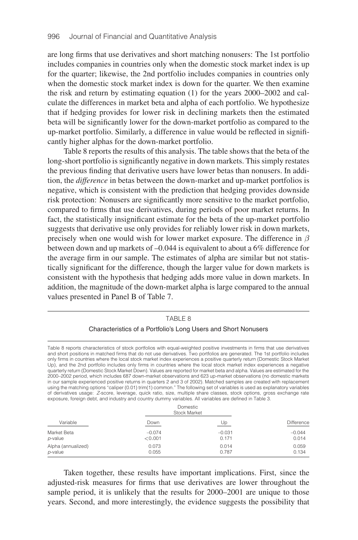are long firms that use derivatives and short matching nonusers: The 1st portfolio includes companies in countries only when the domestic stock market index is up for the quarter; likewise, the 2nd portfolio includes companies in countries only when the domestic stock market index is down for the quarter. We then examine the risk and return by estimating equation (1) for the years 2000–2002 and calculate the differences in market beta and alpha of each portfolio. We hypothesize that if hedging provides for lower risk in declining markets then the estimated beta will be significantly lower for the down-market portfolio as compared to the up-market portfolio. Similarly, a difference in value would be reflected in significantly higher alphas for the down-market portfolio.

Table 8 reports the results of this analysis. The table shows that the beta of the long-short portfolio is significantly negative in down markets. This simply restates the previous finding that derivative users have lower betas than nonusers. In addition, the *difference* in betas between the down-market and up-market portfolios is negative, which is consistent with the prediction that hedging provides downside risk protection: Nonusers are significantly more sensitive to the market portfolio, compared to firms that use derivatives, during periods of poor market returns. In fact, the statistically insignificant estimate for the beta of the up-market portfolio suggests that derivative use only provides for reliably lower risk in down markets, precisely when one would wish for lower market exposure. The difference in  $\beta$ between down and up markets of –0.044 is equivalent to about a 6% difference for the average firm in our sample. The estimates of alpha are similar but not statistically significant for the difference, though the larger value for down markets is consistent with the hypothesis that hedging adds more value in down markets. In addition, the magnitude of the down-market alpha is large compared to the annual values presented in Panel B of Table 7.

#### TABLE 8

#### Characteristics of a Portfolio's Long Users and Short Nonusers

Table 8 reports characteristics of stock portfolios with equal-weighted positive investments in firms that use derivatives and short positions in matched firms that do not use derivatives. Two portfolios are generated. The 1st portfolio includes only firms in countries where the local stock market index experiences a positive quarterly return (Domestic Stock Market Up), and the 2nd portfolio includes only firms in countries where the local stock market index experiences a negative quarterly return (Domestic Stock Market Down). Values are reported for market beta and alpha. Values are estimated for the 2000–2002 period, which includes 687 down-market observations and 623 up-market observations (no domestic markets in our sample experienced positive returns in quarters 2 and 3 of 2002). Matched samples are created with replacement using the matching options "caliper (0.01) trim(1) common." The following set of variables is used as explanatory variables of derivatives usage: Z-score, leverage, quick ratio, size, multiple share classes, stock options, gross exchange rate exposure, foreign debt, and industry and country dummy variables. All variables are defined in Table 3.

|                    | Domestic<br>Stock Market |          |            |
|--------------------|--------------------------|----------|------------|
| Variable           | Down                     | Up       | Difference |
| Market Beta        | $-0.074$                 | $-0.031$ | $-0.044$   |
| p-value            | < 0.001                  | 0.171    | 0.014      |
| Alpha (annualized) | 0.073                    | 0.014    | 0.059      |
| p-value            | 0.055                    | 0.787    | 0.134      |

Taken together, these results have important implications. First, since the adjusted-risk measures for firms that use derivatives are lower throughout the sample period, it is unlikely that the results for 2000–2001 are unique to those years. Second, and more interestingly, the evidence suggests the possibility that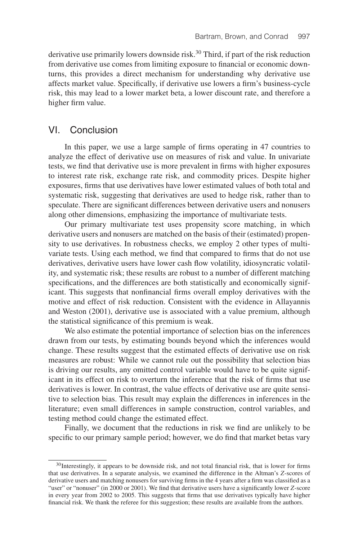derivative use primarily lowers downside risk.<sup>30</sup> Third, if part of the risk reduction from derivative use comes from limiting exposure to financial or economic downturns, this provides a direct mechanism for understanding why derivative use affects market value. Specifically, if derivative use lowers a firm's business-cycle risk, this may lead to a lower market beta, a lower discount rate, and therefore a higher firm value.

## VI. Conclusion

In this paper, we use a large sample of firms operating in 47 countries to analyze the effect of derivative use on measures of risk and value. In univariate tests, we find that derivative use is more prevalent in firms with higher exposures to interest rate risk, exchange rate risk, and commodity prices. Despite higher exposures, firms that use derivatives have lower estimated values of both total and systematic risk, suggesting that derivatives are used to hedge risk, rather than to speculate. There are significant differences between derivative users and nonusers along other dimensions, emphasizing the importance of multivariate tests.

Our primary multivariate test uses propensity score matching, in which derivative users and nonusers are matched on the basis of their (estimated) propensity to use derivatives. In robustness checks, we employ 2 other types of multivariate tests. Using each method, we find that compared to firms that do not use derivatives, derivative users have lower cash flow volatility, idiosyncratic volatility, and systematic risk; these results are robust to a number of different matching specifications, and the differences are both statistically and economically significant. This suggests that nonfinancial firms overall employ derivatives with the motive and effect of risk reduction. Consistent with the evidence in Allayannis and Weston (2001), derivative use is associated with a value premium, although the statistical significance of this premium is weak.

We also estimate the potential importance of selection bias on the inferences drawn from our tests, by estimating bounds beyond which the inferences would change. These results suggest that the estimated effects of derivative use on risk measures are robust: While we cannot rule out the possibility that selection bias is driving our results, any omitted control variable would have to be quite significant in its effect on risk to overturn the inference that the risk of firms that use derivatives is lower. In contrast, the value effects of derivative use are quite sensitive to selection bias. This result may explain the differences in inferences in the literature; even small differences in sample construction, control variables, and testing method could change the estimated effect.

Finally, we document that the reductions in risk we find are unlikely to be specific to our primary sample period; however, we do find that market betas vary

<sup>&</sup>lt;sup>30</sup>Interestingly, it appears to be downside risk, and not total financial risk, that is lower for firms that use derivatives. In a separate analysis, we examined the difference in the Altman's *Z*-scores of derivative users and matching nonusers for surviving firms in the 4 years after a firm was classified as a "user" or "nonuser" (in 2000 or 2001). We find that derivative users have a significantly lower *Z*-score in every year from 2002 to 2005. This suggests that firms that use derivatives typically have higher financial risk. We thank the referee for this suggestion; these results are available from the authors.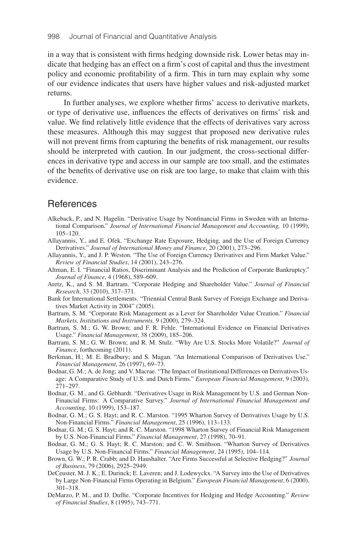in a way that is consistent with firms hedging downside risk. Lower betas may indicate that hedging has an effect on a firm's cost of capital and thus the investment policy and economic profitability of a firm. This in turn may explain why some of our evidence indicates that users have higher values and risk-adjusted market returns.

In further analyses, we explore whether firms' access to derivative markets, or type of derivative use, influences the effects of derivatives on firms' risk and value. We find relatively little evidence that the effects of derivatives vary across these measures. Although this may suggest that proposed new derivative rules will not prevent firms from capturing the benefits of risk management, our results should be interpreted with caution. In our judgment, the cross-sectional differences in derivative type and access in our sample are too small, and the estimates of the benefits of derivative use on risk are too large, to make that claim with this evidence.

## **References**

- Alkeback, P., and N. Hagelin. "Derivative Usage by Nonfinancial Firms in Sweden with an International Comparison." *Journal of International Financial Management and Accounting,* 10 (1999), 105–120.
- Allayannis, Y., and E. Ofek. "Exchange Rate Exposure, Hedging, and the Use of Foreign Currency Derivatives." *Journal of International Money and Finance*, 20 (2001), 273–296.
- Allayannis, Y., and J. P. Weston. "The Use of Foreign Currency Derivatives and Firm Market Value." *Review of Financial Studies*, 14 (2001), 243–276.
- Altman, E. I. "Financial Ratios, Discriminant Analysis and the Prediction of Corporate Bankruptcy." *Journal of Finance*, 4 (1968), 589–609.
- Aretz, K., and S. M. Bartram. "Corporate Hedging and Shareholder Value." *Journal of Financial Research*, 33 (2010), 317–371.
- Bank for International Settlements. "Triennial Central Bank Survey of Foreign Exchange and Derivatives Market Activity in 2004" (2005).
- Bartram, S. M. "Corporate Risk Management as a Lever for Shareholder Value Creation." *Financial Markets, Institutions and Instruments,* 9 (2000), 279–324.
- Bartram, S. M.; G. W. Brown; and F. R. Fehle. "International Evidence on Financial Derivatives Usage." *Financial Management*, 38 (2009), 185–206.
- Bartram, S. M.; G. W. Brown; and R. M. Stulz. "Why Are U.S. Stocks More Volatile?" *Journal of Finance*, forthcoming (2011).
- Berkman, H.; M. E. Bradbury; and S. Magan. "An International Comparison of Derivatives Use." *Financial Management*, 26 (1997), 69–73.
- Bodnar, G. M.; A. de Jong; and V. Macrae. "The Impact of Institutional Differences on Derivatives Usage: A Comparative Study of U.S. and Dutch Firms." *European Financial Management*, 9 (2003), 271–297.
- Bodnar, G. M., and G. Gebhardt. "Derivatives Usage in Risk Management by U.S. and German Non-Financial Firms: A Comparative Survey." *Journal of International Financial Management and Accounting*, 10 (1999), 153–187.
- Bodnar, G. M.; G. S. Hayt; and R. C. Marston. "1995 Wharton Survey of Derivatives Usage by U.S. Non-Financial Firms." *Financial Management*, 25 (1996), 113–133.
- Bodnar, G. M.; G. S. Hayt; and R. C. Marston. "1998 Wharton Survey of Financial Risk Management by U.S. Non-Financial Firms." *Financial Management*, 27 (1998), 70–91.
- Bodnar, G. M.; G. S. Hayt; R. C. Marston; and C. W. Smithson. "Wharton Survey of Derivatives Usage by U.S. Non-Financial Firms." *Financial Management*, 24 (1995), 104–114.
- Brown, G. W.; P. R. Crabb; and D. Haushalter. "Are Firms Successful at Selective Hedging?" *Journal of Business*, 79 (2006), 2925–2949.
- DeCeuster, M. J. K.; E. Durinck; E. Laveren; and J. Lodewyckx. "A Survey into the Use of Derivatives by Large Non-Financial Firms Operating in Belgium." *European Financial Management*, 6 (2000), 301–318.
- DeMarzo, P. M., and D. Duffie. "Corporate Incentives for Hedging and Hedge Accounting." *Review of Financial Studies*, 8 (1995), 743–771.